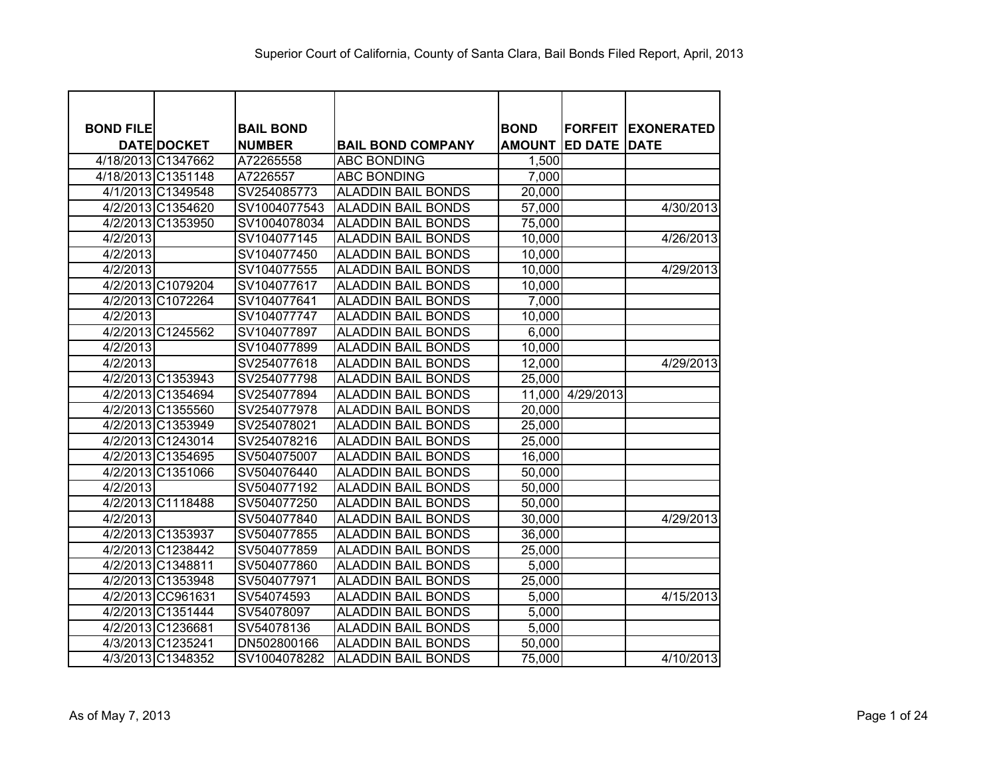| <b>BOND FILE</b> |                    | <b>BAIL BOND</b> |                           | <b>BOND</b>   |                     | <b>FORFEIT EXONERATED</b> |
|------------------|--------------------|------------------|---------------------------|---------------|---------------------|---------------------------|
|                  | <b>DATE DOCKET</b> | <b>NUMBER</b>    | <b>BAIL BOND COMPANY</b>  | <b>AMOUNT</b> | <b>ED DATE DATE</b> |                           |
|                  | 4/18/2013 C1347662 | A72265558        | <b>ABC BONDING</b>        | 1,500         |                     |                           |
|                  | 4/18/2013 C1351148 | A7226557         | <b>ABC BONDING</b>        | 7,000         |                     |                           |
|                  | 4/1/2013 C1349548  | SV254085773      | <b>ALADDIN BAIL BONDS</b> | 20,000        |                     |                           |
|                  | 4/2/2013 C1354620  | SV1004077543     | <b>ALADDIN BAIL BONDS</b> | 57,000        |                     | 4/30/2013                 |
|                  | 4/2/2013 C1353950  | SV1004078034     | <b>ALADDIN BAIL BONDS</b> | 75,000        |                     |                           |
| 4/2/2013         |                    | SV104077145      | <b>ALADDIN BAIL BONDS</b> | 10,000        |                     | 4/26/2013                 |
| 4/2/2013         |                    | SV104077450      | <b>ALADDIN BAIL BONDS</b> | 10,000        |                     |                           |
| 4/2/2013         |                    | SV104077555      | <b>ALADDIN BAIL BONDS</b> | 10,000        |                     | 4/29/2013                 |
|                  | 4/2/2013 C1079204  | SV104077617      | <b>ALADDIN BAIL BONDS</b> | 10,000        |                     |                           |
|                  | 4/2/2013 C1072264  | SV104077641      | <b>ALADDIN BAIL BONDS</b> | 7,000         |                     |                           |
| 4/2/2013         |                    | SV104077747      | <b>ALADDIN BAIL BONDS</b> | 10,000        |                     |                           |
|                  | 4/2/2013 C1245562  | SV104077897      | <b>ALADDIN BAIL BONDS</b> | 6,000         |                     |                           |
| 4/2/2013         |                    | SV104077899      | <b>ALADDIN BAIL BONDS</b> | 10,000        |                     |                           |
| 4/2/2013         |                    | SV254077618      | <b>ALADDIN BAIL BONDS</b> | 12,000        |                     | 4/29/2013                 |
|                  | 4/2/2013 C1353943  | SV254077798      | <b>ALADDIN BAIL BONDS</b> | 25,000        |                     |                           |
|                  | 4/2/2013 C1354694  | SV254077894      | <b>ALADDIN BAIL BONDS</b> |               | 11,000 4/29/2013    |                           |
|                  | 4/2/2013 C1355560  | SV254077978      | <b>ALADDIN BAIL BONDS</b> | 20,000        |                     |                           |
|                  | 4/2/2013 C1353949  | SV254078021      | <b>ALADDIN BAIL BONDS</b> | 25,000        |                     |                           |
|                  | 4/2/2013 C1243014  | SV254078216      | <b>ALADDIN BAIL BONDS</b> | 25,000        |                     |                           |
|                  | 4/2/2013 C1354695  | SV504075007      | <b>ALADDIN BAIL BONDS</b> | 16,000        |                     |                           |
|                  | 4/2/2013 C1351066  | SV504076440      | <b>ALADDIN BAIL BONDS</b> | 50,000        |                     |                           |
| 4/2/2013         |                    | SV504077192      | <b>ALADDIN BAIL BONDS</b> | 50,000        |                     |                           |
|                  | 4/2/2013 C1118488  | SV504077250      | <b>ALADDIN BAIL BONDS</b> | 50,000        |                     |                           |
| 4/2/2013         |                    | SV504077840      | <b>ALADDIN BAIL BONDS</b> | 30,000        |                     | 4/29/2013                 |
|                  | 4/2/2013 C1353937  | SV504077855      | <b>ALADDIN BAIL BONDS</b> | 36,000        |                     |                           |
|                  | 4/2/2013 C1238442  | SV504077859      | <b>ALADDIN BAIL BONDS</b> | 25,000        |                     |                           |
|                  | 4/2/2013 C1348811  | SV504077860      | <b>ALADDIN BAIL BONDS</b> | 5,000         |                     |                           |
|                  | 4/2/2013 C1353948  | SV504077971      | <b>ALADDIN BAIL BONDS</b> | 25,000        |                     |                           |
|                  | 4/2/2013 CC961631  | SV54074593       | <b>ALADDIN BAIL BONDS</b> | 5,000         |                     | 4/15/2013                 |
|                  | 4/2/2013 C1351444  | SV54078097       | <b>ALADDIN BAIL BONDS</b> | 5,000         |                     |                           |
|                  | 4/2/2013 C1236681  | SV54078136       | <b>ALADDIN BAIL BONDS</b> | 5,000         |                     |                           |
|                  | 4/3/2013 C1235241  | DN502800166      | <b>ALADDIN BAIL BONDS</b> | 50,000        |                     |                           |
|                  | 4/3/2013 C1348352  | SV1004078282     | <b>ALADDIN BAIL BONDS</b> | 75,000        |                     | 4/10/2013                 |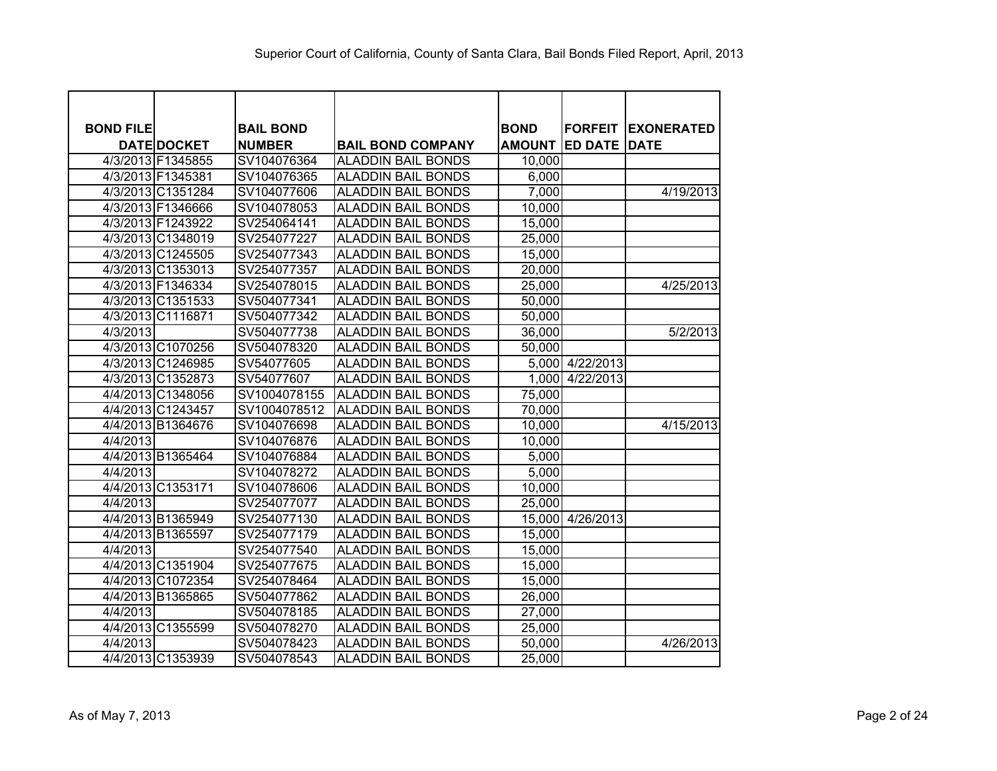| <b>BOND FILE</b> |                    | <b>BAIL BOND</b> |                           | <b>BOND</b>   |                     | <b>FORFEIT EXONERATED</b> |
|------------------|--------------------|------------------|---------------------------|---------------|---------------------|---------------------------|
|                  | <b>DATE DOCKET</b> | <b>NUMBER</b>    | <b>BAIL BOND COMPANY</b>  | <b>AMOUNT</b> | <b>ED DATE DATE</b> |                           |
|                  | 4/3/2013 F1345855  | SV104076364      | <b>ALADDIN BAIL BONDS</b> | 10,000        |                     |                           |
|                  | 4/3/2013 F1345381  | SV104076365      | <b>ALADDIN BAIL BONDS</b> | 6,000         |                     |                           |
|                  | 4/3/2013 C1351284  | SV104077606      | <b>ALADDIN BAIL BONDS</b> | 7,000         |                     | 4/19/2013                 |
|                  | 4/3/2013 F1346666  | SV104078053      | <b>ALADDIN BAIL BONDS</b> | 10,000        |                     |                           |
|                  | 4/3/2013 F1243922  | SV254064141      | <b>ALADDIN BAIL BONDS</b> | 15,000        |                     |                           |
|                  | 4/3/2013 C1348019  | SV254077227      | <b>ALADDIN BAIL BONDS</b> | 25,000        |                     |                           |
|                  | 4/3/2013 C1245505  | SV254077343      | <b>ALADDIN BAIL BONDS</b> | 15,000        |                     |                           |
|                  | 4/3/2013 C1353013  | SV254077357      | <b>ALADDIN BAIL BONDS</b> | 20,000        |                     |                           |
|                  | 4/3/2013 F1346334  | SV254078015      | <b>ALADDIN BAIL BONDS</b> | 25,000        |                     | 4/25/2013                 |
|                  | 4/3/2013 C1351533  | SV504077341      | <b>ALADDIN BAIL BONDS</b> | 50,000        |                     |                           |
|                  | 4/3/2013 C1116871  | SV504077342      | <b>ALADDIN BAIL BONDS</b> | 50,000        |                     |                           |
| 4/3/2013         |                    | SV504077738      | <b>ALADDIN BAIL BONDS</b> | 36,000        |                     | 5/2/2013                  |
|                  | 4/3/2013 C1070256  | SV504078320      | <b>ALADDIN BAIL BONDS</b> | 50,000        |                     |                           |
|                  | 4/3/2013 C1246985  | SV54077605       | <b>ALADDIN BAIL BONDS</b> |               | 5,000 4/22/2013     |                           |
|                  | 4/3/2013 C1352873  | SV54077607       | <b>ALADDIN BAIL BONDS</b> |               | 1,000 4/22/2013     |                           |
|                  | 4/4/2013 C1348056  | SV1004078155     | <b>ALADDIN BAIL BONDS</b> | 75,000        |                     |                           |
|                  | 4/4/2013 C1243457  | SV1004078512     | <b>ALADDIN BAIL BONDS</b> | 70,000        |                     |                           |
|                  | 4/4/2013 B1364676  | SV104076698      | <b>ALADDIN BAIL BONDS</b> | 10,000        |                     | 4/15/2013                 |
| 4/4/2013         |                    | SV104076876      | <b>ALADDIN BAIL BONDS</b> | 10,000        |                     |                           |
|                  | 4/4/2013 B1365464  | SV104076884      | <b>ALADDIN BAIL BONDS</b> | 5,000         |                     |                           |
| 4/4/2013         |                    | SV104078272      | <b>ALADDIN BAIL BONDS</b> | 5,000         |                     |                           |
|                  | 4/4/2013 C1353171  | SV104078606      | <b>ALADDIN BAIL BONDS</b> | 10,000        |                     |                           |
| 4/4/2013         |                    | SV254077077      | <b>ALADDIN BAIL BONDS</b> | 25,000        |                     |                           |
|                  | 4/4/2013 B1365949  | SV254077130      | <b>ALADDIN BAIL BONDS</b> |               | 15,000 4/26/2013    |                           |
|                  | 4/4/2013 B1365597  | SV254077179      | <b>ALADDIN BAIL BONDS</b> | 15,000        |                     |                           |
| 4/4/2013         |                    | SV254077540      | <b>ALADDIN BAIL BONDS</b> | 15,000        |                     |                           |
|                  | 4/4/2013 C1351904  | SV254077675      | <b>ALADDIN BAIL BONDS</b> | 15,000        |                     |                           |
|                  | 4/4/2013 C1072354  | SV254078464      | <b>ALADDIN BAIL BONDS</b> | 15,000        |                     |                           |
|                  | 4/4/2013 B1365865  | SV504077862      | <b>ALADDIN BAIL BONDS</b> | 26,000        |                     |                           |
| 4/4/2013         |                    | SV504078185      | <b>ALADDIN BAIL BONDS</b> | 27,000        |                     |                           |
|                  | 4/4/2013 C1355599  | SV504078270      | <b>ALADDIN BAIL BONDS</b> | 25,000        |                     |                           |
| 4/4/2013         |                    | SV504078423      | <b>ALADDIN BAIL BONDS</b> | 50,000        |                     | 4/26/2013                 |
|                  | 4/4/2013 C1353939  | SV504078543      | <b>ALADDIN BAIL BONDS</b> | 25,000        |                     |                           |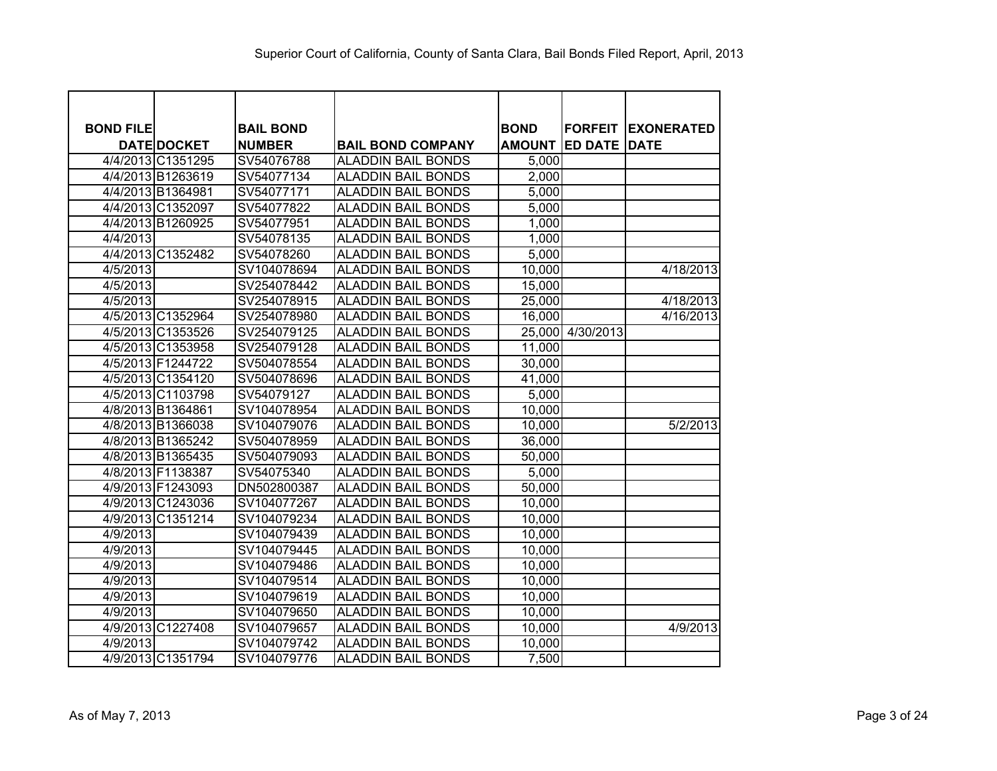| <b>BOND FILE</b> |                    | <b>BAIL BOND</b> |                           | <b>BOND</b>   | <b>FORFEIT</b>      | <b>IEXONERATED</b> |
|------------------|--------------------|------------------|---------------------------|---------------|---------------------|--------------------|
|                  | <b>DATE DOCKET</b> | <b>NUMBER</b>    | <b>BAIL BOND COMPANY</b>  | <b>AMOUNT</b> | <b>ED DATE DATE</b> |                    |
|                  | 4/4/2013 C1351295  | SV54076788       | <b>ALADDIN BAIL BONDS</b> | 5,000         |                     |                    |
|                  | 4/4/2013 B1263619  | SV54077134       | <b>ALADDIN BAIL BONDS</b> | 2,000         |                     |                    |
|                  | 4/4/2013 B1364981  | SV54077171       | <b>ALADDIN BAIL BONDS</b> | 5,000         |                     |                    |
|                  | 4/4/2013 C1352097  | SV54077822       | <b>ALADDIN BAIL BONDS</b> | 5,000         |                     |                    |
|                  | 4/4/2013 B1260925  | SV54077951       | <b>ALADDIN BAIL BONDS</b> | 1,000         |                     |                    |
| 4/4/2013         |                    | SV54078135       | <b>ALADDIN BAIL BONDS</b> | 1,000         |                     |                    |
|                  | 4/4/2013 C1352482  | SV54078260       | <b>ALADDIN BAIL BONDS</b> | 5,000         |                     |                    |
| 4/5/2013         |                    | SV104078694      | <b>ALADDIN BAIL BONDS</b> | 10,000        |                     | 4/18/2013          |
| 4/5/2013         |                    | SV254078442      | <b>ALADDIN BAIL BONDS</b> | 15,000        |                     |                    |
| 4/5/2013         |                    | SV254078915      | <b>ALADDIN BAIL BONDS</b> | 25,000        |                     | 4/18/2013          |
|                  | 4/5/2013 C1352964  | SV254078980      | <b>ALADDIN BAIL BONDS</b> | 16,000        |                     | 4/16/2013          |
|                  | 4/5/2013 C1353526  | SV254079125      | <b>ALADDIN BAIL BONDS</b> |               | 25,000 4/30/2013    |                    |
|                  | 4/5/2013 C1353958  | SV254079128      | <b>ALADDIN BAIL BONDS</b> | 11,000        |                     |                    |
|                  | 4/5/2013 F1244722  | SV504078554      | <b>ALADDIN BAIL BONDS</b> | 30,000        |                     |                    |
|                  | 4/5/2013 C1354120  | SV504078696      | <b>ALADDIN BAIL BONDS</b> | 41,000        |                     |                    |
|                  | 4/5/2013 C1103798  | SV54079127       | <b>ALADDIN BAIL BONDS</b> | 5,000         |                     |                    |
|                  | 4/8/2013 B1364861  | SV104078954      | <b>ALADDIN BAIL BONDS</b> | 10,000        |                     |                    |
|                  | 4/8/2013 B1366038  | SV104079076      | <b>ALADDIN BAIL BONDS</b> | 10,000        |                     | 5/2/2013           |
|                  | 4/8/2013 B1365242  | SV504078959      | <b>ALADDIN BAIL BONDS</b> | 36,000        |                     |                    |
|                  | 4/8/2013 B1365435  | SV504079093      | <b>ALADDIN BAIL BONDS</b> | 50,000        |                     |                    |
|                  | 4/8/2013 F1138387  | SV54075340       | <b>ALADDIN BAIL BONDS</b> | 5,000         |                     |                    |
|                  | 4/9/2013 F1243093  | DN502800387      | <b>ALADDIN BAIL BONDS</b> | 50,000        |                     |                    |
|                  | 4/9/2013 C1243036  | SV104077267      | <b>ALADDIN BAIL BONDS</b> | 10,000        |                     |                    |
|                  | 4/9/2013 C1351214  | SV104079234      | <b>ALADDIN BAIL BONDS</b> | 10,000        |                     |                    |
| 4/9/2013         |                    | SV104079439      | <b>ALADDIN BAIL BONDS</b> | 10,000        |                     |                    |
| 4/9/2013         |                    | SV104079445      | <b>ALADDIN BAIL BONDS</b> | 10,000        |                     |                    |
| 4/9/2013         |                    | SV104079486      | <b>ALADDIN BAIL BONDS</b> | 10,000        |                     |                    |
| 4/9/2013         |                    | SV104079514      | <b>ALADDIN BAIL BONDS</b> | 10,000        |                     |                    |
| 4/9/2013         |                    | SV104079619      | <b>ALADDIN BAIL BONDS</b> | 10,000        |                     |                    |
| 4/9/2013         |                    | SV104079650      | <b>ALADDIN BAIL BONDS</b> | 10,000        |                     |                    |
|                  | 4/9/2013 C1227408  | SV104079657      | <b>ALADDIN BAIL BONDS</b> | 10,000        |                     | 4/9/2013           |
| 4/9/2013         |                    | SV104079742      | <b>ALADDIN BAIL BONDS</b> | 10,000        |                     |                    |
|                  | 4/9/2013 C1351794  | SV104079776      | <b>ALADDIN BAIL BONDS</b> | 7,500         |                     |                    |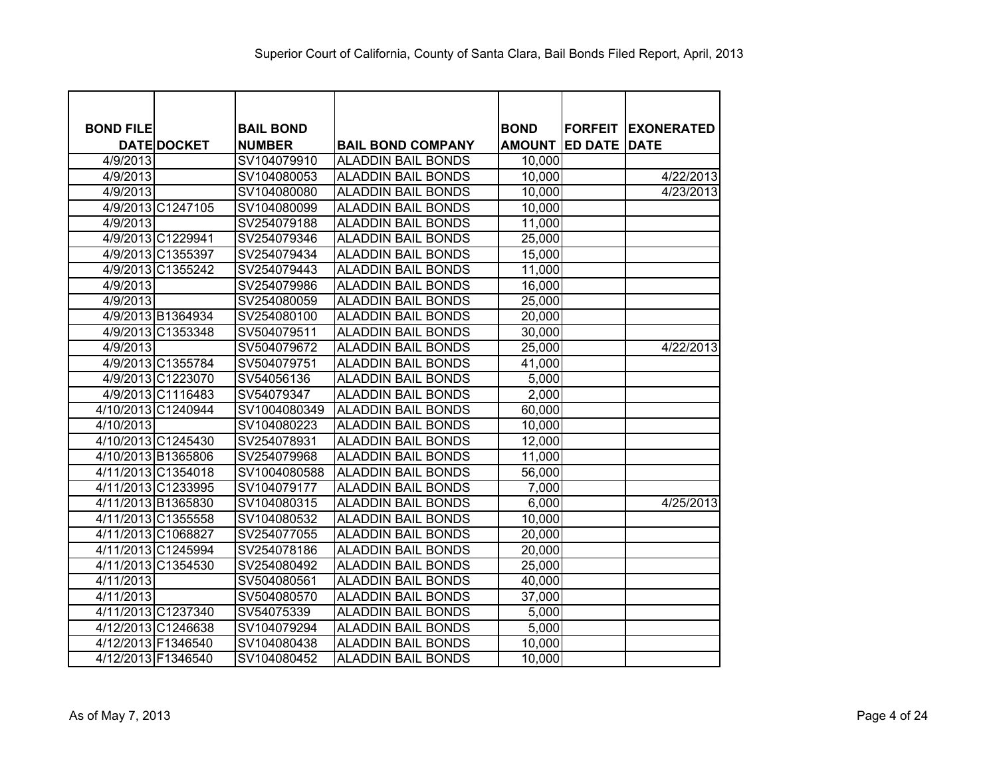| <b>BOND FILE</b> |                    | <b>BAIL BOND</b> |                           | <b>BOND</b>   | <b>FORFEIT</b>      | <b>IEXONERATED</b> |
|------------------|--------------------|------------------|---------------------------|---------------|---------------------|--------------------|
|                  | <b>DATE DOCKET</b> | <b>NUMBER</b>    | <b>BAIL BOND COMPANY</b>  | <b>AMOUNT</b> | <b>ED DATE DATE</b> |                    |
| 4/9/2013         |                    | SV104079910      | <b>ALADDIN BAIL BONDS</b> | 10,000        |                     |                    |
| 4/9/2013         |                    | SV104080053      | <b>ALADDIN BAIL BONDS</b> | 10,000        |                     | 4/22/2013          |
| 4/9/2013         |                    | SV104080080      | <b>ALADDIN BAIL BONDS</b> | 10,000        |                     | 4/23/2013          |
|                  | 4/9/2013 C1247105  | SV104080099      | <b>ALADDIN BAIL BONDS</b> | 10,000        |                     |                    |
| 4/9/2013         |                    | SV254079188      | <b>ALADDIN BAIL BONDS</b> | 11,000        |                     |                    |
|                  | 4/9/2013 C1229941  | SV254079346      | <b>ALADDIN BAIL BONDS</b> | 25,000        |                     |                    |
|                  | 4/9/2013 C1355397  | SV254079434      | <b>ALADDIN BAIL BONDS</b> | 15,000        |                     |                    |
|                  | 4/9/2013 C1355242  | SV254079443      | <b>ALADDIN BAIL BONDS</b> | 11,000        |                     |                    |
| 4/9/2013         |                    | SV254079986      | <b>ALADDIN BAIL BONDS</b> | 16,000        |                     |                    |
| 4/9/2013         |                    | SV254080059      | <b>ALADDIN BAIL BONDS</b> | 25,000        |                     |                    |
|                  | 4/9/2013 B1364934  | SV254080100      | <b>ALADDIN BAIL BONDS</b> | 20,000        |                     |                    |
|                  | 4/9/2013 C1353348  | SV504079511      | <b>ALADDIN BAIL BONDS</b> | 30,000        |                     |                    |
| 4/9/2013         |                    | SV504079672      | <b>ALADDIN BAIL BONDS</b> | 25,000        |                     | 4/22/2013          |
|                  | 4/9/2013 C1355784  | SV504079751      | <b>ALADDIN BAIL BONDS</b> | 41,000        |                     |                    |
|                  | 4/9/2013 C1223070  | SV54056136       | <b>ALADDIN BAIL BONDS</b> | 5,000         |                     |                    |
|                  | 4/9/2013 C1116483  | SV54079347       | <b>ALADDIN BAIL BONDS</b> | 2,000         |                     |                    |
|                  | 4/10/2013 C1240944 | SV1004080349     | <b>ALADDIN BAIL BONDS</b> | 60,000        |                     |                    |
| 4/10/2013        |                    | SV104080223      | <b>ALADDIN BAIL BONDS</b> | 10,000        |                     |                    |
|                  | 4/10/2013 C1245430 | SV254078931      | <b>ALADDIN BAIL BONDS</b> | 12,000        |                     |                    |
|                  | 4/10/2013 B1365806 | SV254079968      | <b>ALADDIN BAIL BONDS</b> | 11,000        |                     |                    |
|                  | 4/11/2013 C1354018 | SV1004080588     | <b>ALADDIN BAIL BONDS</b> | 56,000        |                     |                    |
|                  | 4/11/2013 C1233995 | SV104079177      | <b>ALADDIN BAIL BONDS</b> | 7,000         |                     |                    |
|                  | 4/11/2013 B1365830 | SV104080315      | <b>ALADDIN BAIL BONDS</b> | 6,000         |                     | 4/25/2013          |
|                  | 4/11/2013 C1355558 | SV104080532      | <b>ALADDIN BAIL BONDS</b> | 10,000        |                     |                    |
|                  | 4/11/2013 C1068827 | SV254077055      | <b>ALADDIN BAIL BONDS</b> | 20,000        |                     |                    |
|                  | 4/11/2013 C1245994 | SV254078186      | <b>ALADDIN BAIL BONDS</b> | 20,000        |                     |                    |
|                  | 4/11/2013 C1354530 | SV254080492      | <b>ALADDIN BAIL BONDS</b> | 25,000        |                     |                    |
| 4/11/2013        |                    | SV504080561      | <b>ALADDIN BAIL BONDS</b> | 40,000        |                     |                    |
| 4/11/2013        |                    | SV504080570      | <b>ALADDIN BAIL BONDS</b> | 37,000        |                     |                    |
|                  | 4/11/2013 C1237340 | SV54075339       | <b>ALADDIN BAIL BONDS</b> | 5,000         |                     |                    |
|                  | 4/12/2013 C1246638 | SV104079294      | <b>ALADDIN BAIL BONDS</b> | 5,000         |                     |                    |
|                  | 4/12/2013 F1346540 | SV104080438      | <b>ALADDIN BAIL BONDS</b> | 10,000        |                     |                    |
|                  | 4/12/2013 F1346540 | SV104080452      | <b>ALADDIN BAIL BONDS</b> | 10,000        |                     |                    |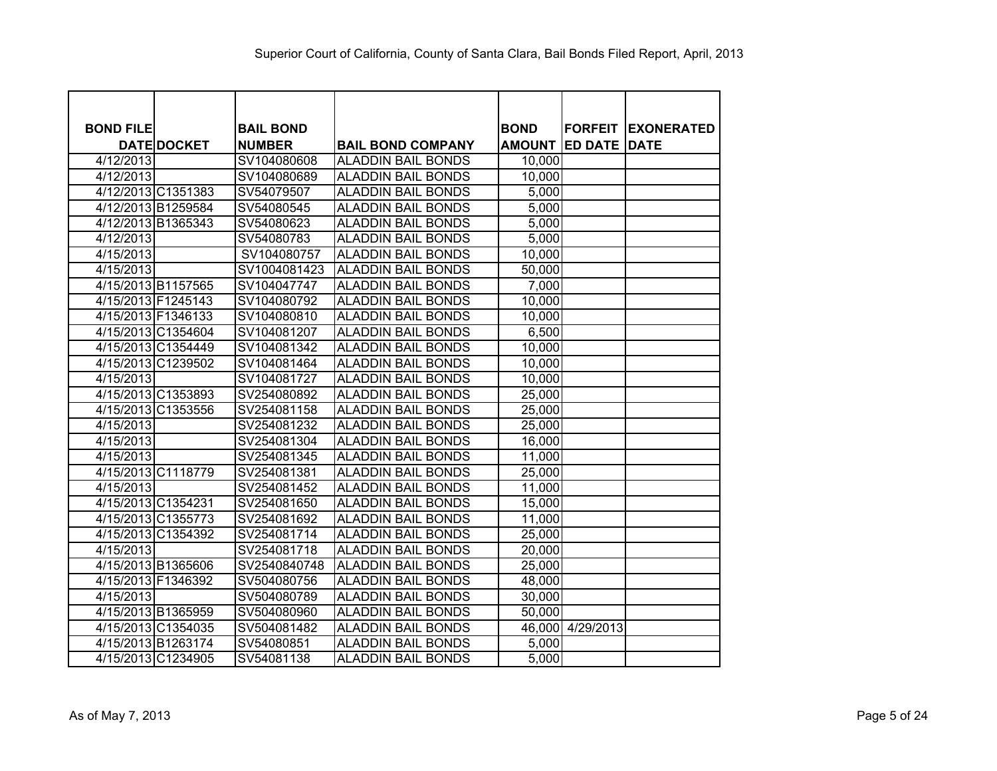| <b>BOND FILE</b> |                    | <b>BAIL BOND</b> |                           | <b>BOND</b>   | <b>FORFEIT</b> | <b>IEXONERATED</b> |
|------------------|--------------------|------------------|---------------------------|---------------|----------------|--------------------|
|                  | <b>DATE DOCKET</b> | <b>NUMBER</b>    | <b>BAIL BOND COMPANY</b>  | <b>AMOUNT</b> | <b>ED DATE</b> | <b>DATE</b>        |
| 4/12/2013        |                    | SV104080608      | <b>ALADDIN BAIL BONDS</b> | 10,000        |                |                    |
| 4/12/2013        |                    | SV104080689      | <b>ALADDIN BAIL BONDS</b> | 10,000        |                |                    |
|                  | 4/12/2013 C1351383 | SV54079507       | <b>ALADDIN BAIL BONDS</b> | 5,000         |                |                    |
|                  | 4/12/2013 B1259584 | SV54080545       | <b>ALADDIN BAIL BONDS</b> | 5,000         |                |                    |
|                  | 4/12/2013 B1365343 | SV54080623       | <b>ALADDIN BAIL BONDS</b> | 5,000         |                |                    |
| 4/12/2013        |                    | SV54080783       | <b>ALADDIN BAIL BONDS</b> | 5,000         |                |                    |
| 4/15/2013        |                    | SV104080757      | <b>ALADDIN BAIL BONDS</b> | 10,000        |                |                    |
| 4/15/2013        |                    | SV1004081423     | <b>ALADDIN BAIL BONDS</b> | 50,000        |                |                    |
|                  | 4/15/2013 B1157565 | SV104047747      | <b>ALADDIN BAIL BONDS</b> | 7,000         |                |                    |
|                  | 4/15/2013 F1245143 | SV104080792      | <b>ALADDIN BAIL BONDS</b> | 10,000        |                |                    |
|                  | 4/15/2013 F1346133 | SV104080810      | <b>ALADDIN BAIL BONDS</b> | 10,000        |                |                    |
|                  | 4/15/2013 C1354604 | SV104081207      | <b>ALADDIN BAIL BONDS</b> | 6,500         |                |                    |
|                  | 4/15/2013 C1354449 | SV104081342      | <b>ALADDIN BAIL BONDS</b> | 10,000        |                |                    |
|                  | 4/15/2013 C1239502 | SV104081464      | <b>ALADDIN BAIL BONDS</b> | 10,000        |                |                    |
| 4/15/2013        |                    | SV104081727      | <b>ALADDIN BAIL BONDS</b> | 10,000        |                |                    |
|                  | 4/15/2013 C1353893 | SV254080892      | <b>ALADDIN BAIL BONDS</b> | 25,000        |                |                    |
|                  | 4/15/2013 C1353556 | SV254081158      | <b>ALADDIN BAIL BONDS</b> | 25,000        |                |                    |
| 4/15/2013        |                    | SV254081232      | <b>ALADDIN BAIL BONDS</b> | 25,000        |                |                    |
| 4/15/2013        |                    | SV254081304      | <b>ALADDIN BAIL BONDS</b> | 16,000        |                |                    |
| 4/15/2013        |                    | SV254081345      | <b>ALADDIN BAIL BONDS</b> | 11,000        |                |                    |
|                  | 4/15/2013 C1118779 | SV254081381      | <b>ALADDIN BAIL BONDS</b> | 25,000        |                |                    |
| 4/15/2013        |                    | SV254081452      | <b>ALADDIN BAIL BONDS</b> | 11,000        |                |                    |
|                  | 4/15/2013 C1354231 | SV254081650      | <b>ALADDIN BAIL BONDS</b> | 15,000        |                |                    |
|                  | 4/15/2013 C1355773 | SV254081692      | <b>ALADDIN BAIL BONDS</b> | 11,000        |                |                    |
|                  | 4/15/2013 C1354392 | SV254081714      | <b>ALADDIN BAIL BONDS</b> | 25,000        |                |                    |
| 4/15/2013        |                    | SV254081718      | <b>ALADDIN BAIL BONDS</b> | 20,000        |                |                    |
|                  | 4/15/2013 B1365606 | SV2540840748     | <b>ALADDIN BAIL BONDS</b> | 25,000        |                |                    |
|                  | 4/15/2013 F1346392 | SV504080756      | <b>ALADDIN BAIL BONDS</b> | 48,000        |                |                    |
| 4/15/2013        |                    | SV504080789      | <b>ALADDIN BAIL BONDS</b> | 30,000        |                |                    |
|                  | 4/15/2013 B1365959 | SV504080960      | <b>ALADDIN BAIL BONDS</b> | 50,000        |                |                    |
|                  | 4/15/2013 C1354035 | SV504081482      | <b>ALADDIN BAIL BONDS</b> | 46,000        | 4/29/2013      |                    |
|                  | 4/15/2013 B1263174 | SV54080851       | <b>ALADDIN BAIL BONDS</b> | 5,000         |                |                    |
|                  | 4/15/2013 C1234905 | SV54081138       | <b>ALADDIN BAIL BONDS</b> | 5,000         |                |                    |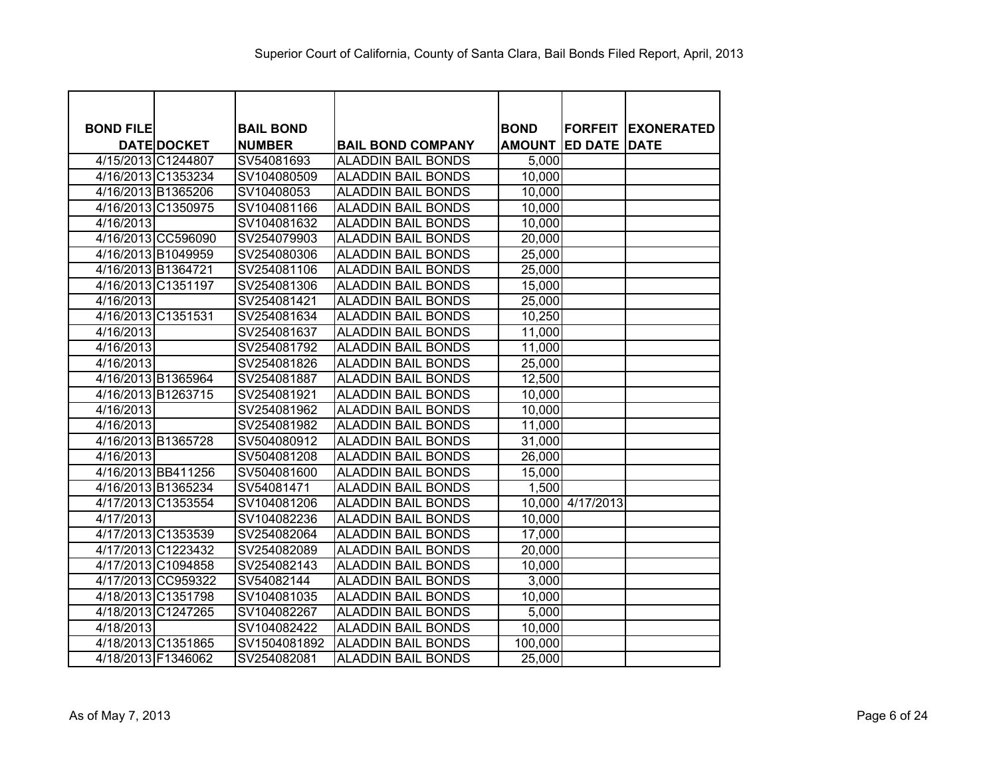| <b>BOND FILE</b> |                    | <b>BAIL BOND</b> |                           | <b>BOND</b>   | <b>FORFEIT</b>      | <b>IEXONERATED</b> |
|------------------|--------------------|------------------|---------------------------|---------------|---------------------|--------------------|
|                  | <b>DATE DOCKET</b> | <b>NUMBER</b>    | <b>BAIL BOND COMPANY</b>  | <b>AMOUNT</b> | <b>ED DATE DATE</b> |                    |
|                  | 4/15/2013 C1244807 | SV54081693       | <b>ALADDIN BAIL BONDS</b> | 5,000         |                     |                    |
|                  | 4/16/2013 C1353234 | SV104080509      | <b>ALADDIN BAIL BONDS</b> | 10,000        |                     |                    |
|                  | 4/16/2013 B1365206 | SV10408053       | <b>ALADDIN BAIL BONDS</b> | 10,000        |                     |                    |
|                  | 4/16/2013 C1350975 | SV104081166      | <b>ALADDIN BAIL BONDS</b> | 10,000        |                     |                    |
| 4/16/2013        |                    | SV104081632      | <b>ALADDIN BAIL BONDS</b> | 10,000        |                     |                    |
|                  | 4/16/2013 CC596090 | SV254079903      | <b>ALADDIN BAIL BONDS</b> | 20,000        |                     |                    |
|                  | 4/16/2013 B1049959 | SV254080306      | <b>ALADDIN BAIL BONDS</b> | 25,000        |                     |                    |
|                  | 4/16/2013 B1364721 | SV254081106      | <b>ALADDIN BAIL BONDS</b> | 25,000        |                     |                    |
|                  | 4/16/2013 C1351197 | SV254081306      | <b>ALADDIN BAIL BONDS</b> | 15,000        |                     |                    |
| 4/16/2013        |                    | SV254081421      | <b>ALADDIN BAIL BONDS</b> | 25,000        |                     |                    |
|                  | 4/16/2013 C1351531 | SV254081634      | <b>ALADDIN BAIL BONDS</b> | 10,250        |                     |                    |
| 4/16/2013        |                    | SV254081637      | <b>ALADDIN BAIL BONDS</b> | 11,000        |                     |                    |
| 4/16/2013        |                    | SV254081792      | <b>ALADDIN BAIL BONDS</b> | 11,000        |                     |                    |
| 4/16/2013        |                    | SV254081826      | <b>ALADDIN BAIL BONDS</b> | 25,000        |                     |                    |
|                  | 4/16/2013 B1365964 | SV254081887      | <b>ALADDIN BAIL BONDS</b> | 12,500        |                     |                    |
|                  | 4/16/2013 B1263715 | SV254081921      | <b>ALADDIN BAIL BONDS</b> | 10,000        |                     |                    |
| 4/16/2013        |                    | SV254081962      | <b>ALADDIN BAIL BONDS</b> | 10,000        |                     |                    |
| 4/16/2013        |                    | SV254081982      | <b>ALADDIN BAIL BONDS</b> | 11,000        |                     |                    |
|                  | 4/16/2013 B1365728 | SV504080912      | <b>ALADDIN BAIL BONDS</b> | 31,000        |                     |                    |
| 4/16/2013        |                    | SV504081208      | <b>ALADDIN BAIL BONDS</b> | 26,000        |                     |                    |
|                  | 4/16/2013 BB411256 | SV504081600      | <b>ALADDIN BAIL BONDS</b> | 15,000        |                     |                    |
|                  | 4/16/2013 B1365234 | SV54081471       | <b>ALADDIN BAIL BONDS</b> | 1,500         |                     |                    |
|                  | 4/17/2013 C1353554 | SV104081206      | <b>ALADDIN BAIL BONDS</b> | 10,000        | 4/17/2013           |                    |
| 4/17/2013        |                    | SV104082236      | <b>ALADDIN BAIL BONDS</b> | 10,000        |                     |                    |
|                  | 4/17/2013 C1353539 | SV254082064      | <b>ALADDIN BAIL BONDS</b> | 17,000        |                     |                    |
|                  | 4/17/2013 C1223432 | SV254082089      | <b>ALADDIN BAIL BONDS</b> | 20,000        |                     |                    |
|                  | 4/17/2013 C1094858 | SV254082143      | <b>ALADDIN BAIL BONDS</b> | 10,000        |                     |                    |
|                  | 4/17/2013 CC959322 | SV54082144       | <b>ALADDIN BAIL BONDS</b> | 3,000         |                     |                    |
|                  | 4/18/2013 C1351798 | SV104081035      | <b>ALADDIN BAIL BONDS</b> | 10,000        |                     |                    |
|                  | 4/18/2013 C1247265 | SV104082267      | <b>ALADDIN BAIL BONDS</b> | 5,000         |                     |                    |
| 4/18/2013        |                    | SV104082422      | <b>ALADDIN BAIL BONDS</b> | 10,000        |                     |                    |
|                  | 4/18/2013 C1351865 | SV1504081892     | <b>ALADDIN BAIL BONDS</b> | 100,000       |                     |                    |
|                  | 4/18/2013 F1346062 | SV254082081      | <b>ALADDIN BAIL BONDS</b> | 25,000        |                     |                    |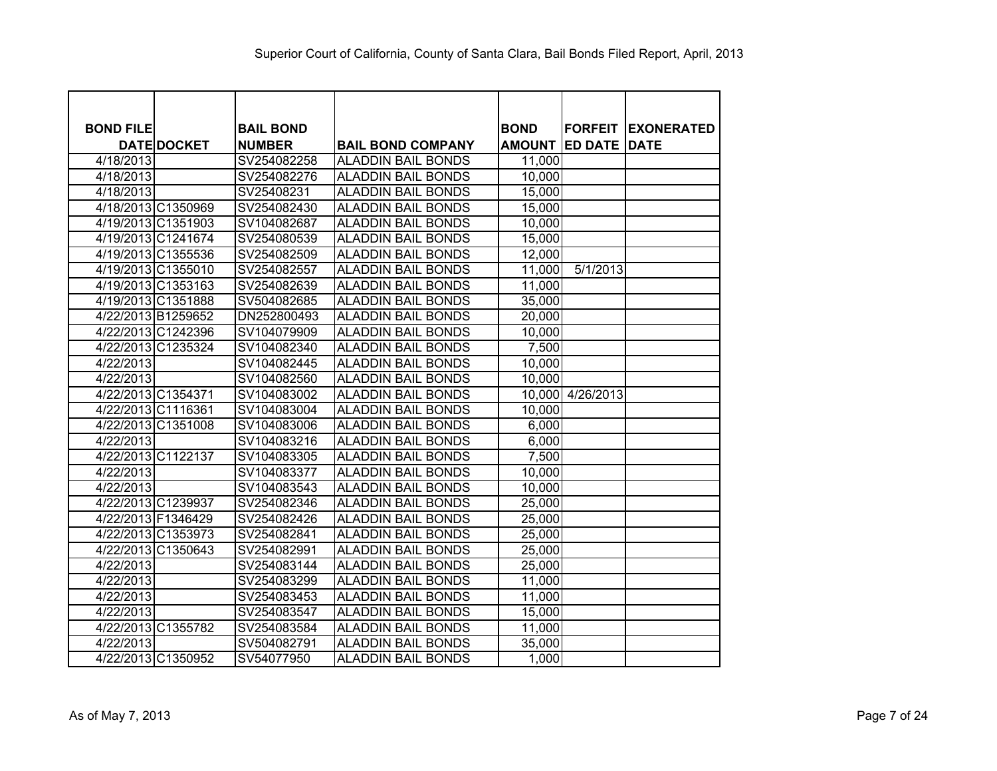| <b>BOND FILE</b> |                    | <b>BAIL BOND</b> |                           | <b>BOND</b>   | <b>FORFEIT</b>      | <b>IEXONERATED</b> |
|------------------|--------------------|------------------|---------------------------|---------------|---------------------|--------------------|
|                  | <b>DATE DOCKET</b> | <b>NUMBER</b>    | <b>BAIL BOND COMPANY</b>  | <b>AMOUNT</b> | <b>ED DATE DATE</b> |                    |
| 4/18/2013        |                    | SV254082258      | <b>ALADDIN BAIL BONDS</b> | 11,000        |                     |                    |
| 4/18/2013        |                    | SV254082276      | <b>ALADDIN BAIL BONDS</b> | 10,000        |                     |                    |
| 4/18/2013        |                    | SV25408231       | <b>ALADDIN BAIL BONDS</b> | 15,000        |                     |                    |
|                  | 4/18/2013 C1350969 | SV254082430      | <b>ALADDIN BAIL BONDS</b> | 15,000        |                     |                    |
|                  | 4/19/2013 C1351903 | SV104082687      | <b>ALADDIN BAIL BONDS</b> | 10,000        |                     |                    |
|                  | 4/19/2013 C1241674 | SV254080539      | <b>ALADDIN BAIL BONDS</b> | 15,000        |                     |                    |
|                  | 4/19/2013 C1355536 | SV254082509      | <b>ALADDIN BAIL BONDS</b> | 12,000        |                     |                    |
|                  | 4/19/2013 C1355010 | SV254082557      | <b>ALADDIN BAIL BONDS</b> | 11,000        | 5/1/2013            |                    |
|                  | 4/19/2013 C1353163 | SV254082639      | <b>ALADDIN BAIL BONDS</b> | 11,000        |                     |                    |
|                  | 4/19/2013 C1351888 | SV504082685      | <b>ALADDIN BAIL BONDS</b> | 35,000        |                     |                    |
|                  | 4/22/2013 B1259652 | DN252800493      | <b>ALADDIN BAIL BONDS</b> | 20,000        |                     |                    |
|                  | 4/22/2013 C1242396 | SV104079909      | <b>ALADDIN BAIL BONDS</b> | 10,000        |                     |                    |
|                  | 4/22/2013 C1235324 | SV104082340      | <b>ALADDIN BAIL BONDS</b> | 7,500         |                     |                    |
| 4/22/2013        |                    | SV104082445      | <b>ALADDIN BAIL BONDS</b> | 10,000        |                     |                    |
| 4/22/2013        |                    | SV104082560      | <b>ALADDIN BAIL BONDS</b> | 10,000        |                     |                    |
|                  | 4/22/2013 C1354371 | SV104083002      | <b>ALADDIN BAIL BONDS</b> |               | 10,000 4/26/2013    |                    |
|                  | 4/22/2013 C1116361 | SV104083004      | <b>ALADDIN BAIL BONDS</b> | 10,000        |                     |                    |
|                  | 4/22/2013 C1351008 | SV104083006      | <b>ALADDIN BAIL BONDS</b> | 6,000         |                     |                    |
| 4/22/2013        |                    | SV104083216      | <b>ALADDIN BAIL BONDS</b> | 6,000         |                     |                    |
|                  | 4/22/2013 C1122137 | SV104083305      | <b>ALADDIN BAIL BONDS</b> | 7,500         |                     |                    |
| 4/22/2013        |                    | SV104083377      | <b>ALADDIN BAIL BONDS</b> | 10,000        |                     |                    |
| 4/22/2013        |                    | SV104083543      | <b>ALADDIN BAIL BONDS</b> | 10,000        |                     |                    |
|                  | 4/22/2013 C1239937 | SV254082346      | <b>ALADDIN BAIL BONDS</b> | 25,000        |                     |                    |
|                  | 4/22/2013 F1346429 | SV254082426      | <b>ALADDIN BAIL BONDS</b> | 25,000        |                     |                    |
|                  | 4/22/2013 C1353973 | SV254082841      | <b>ALADDIN BAIL BONDS</b> | 25,000        |                     |                    |
|                  | 4/22/2013 C1350643 | SV254082991      | <b>ALADDIN BAIL BONDS</b> | 25,000        |                     |                    |
| 4/22/2013        |                    | SV254083144      | <b>ALADDIN BAIL BONDS</b> | 25,000        |                     |                    |
| 4/22/2013        |                    | SV254083299      | <b>ALADDIN BAIL BONDS</b> | 11,000        |                     |                    |
| 4/22/2013        |                    | SV254083453      | <b>ALADDIN BAIL BONDS</b> | 11,000        |                     |                    |
| 4/22/2013        |                    | SV254083547      | <b>ALADDIN BAIL BONDS</b> | 15,000        |                     |                    |
|                  | 4/22/2013 C1355782 | SV254083584      | <b>ALADDIN BAIL BONDS</b> | 11,000        |                     |                    |
| 4/22/2013        |                    | SV504082791      | <b>ALADDIN BAIL BONDS</b> | 35,000        |                     |                    |
|                  | 4/22/2013 C1350952 | SV54077950       | <b>ALADDIN BAIL BONDS</b> | 1,000         |                     |                    |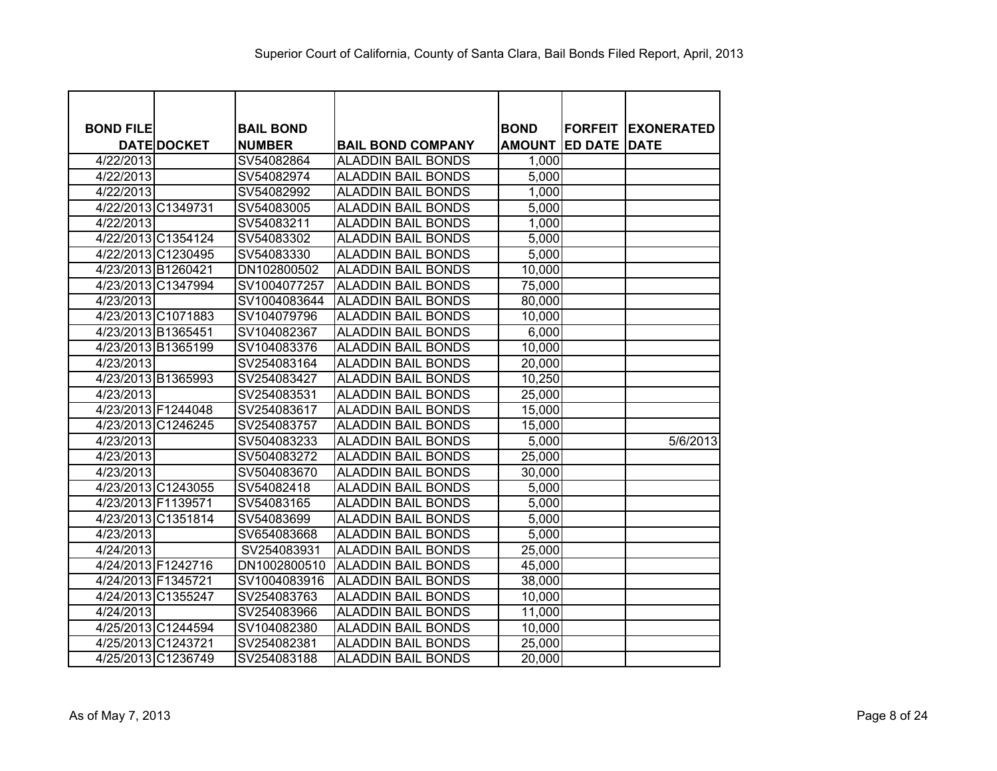| <b>BOND FILE</b>   |                    | <b>BAIL BOND</b> |                           | <b>BOND</b>   | <b>FORFEIT</b> | <b>IEXONERATED</b> |
|--------------------|--------------------|------------------|---------------------------|---------------|----------------|--------------------|
|                    | <b>DATE DOCKET</b> | <b>NUMBER</b>    | <b>BAIL BOND COMPANY</b>  | <b>AMOUNT</b> | <b>ED DATE</b> | <b>DATE</b>        |
| 4/22/2013          |                    | SV54082864       | <b>ALADDIN BAIL BONDS</b> | 1,000         |                |                    |
| 4/22/2013          |                    | SV54082974       | <b>ALADDIN BAIL BONDS</b> | 5,000         |                |                    |
| 4/22/2013          |                    | SV54082992       | <b>ALADDIN BAIL BONDS</b> | 1,000         |                |                    |
|                    | 4/22/2013 C1349731 | SV54083005       | <b>ALADDIN BAIL BONDS</b> | 5,000         |                |                    |
| 4/22/2013          |                    | SV54083211       | <b>ALADDIN BAIL BONDS</b> | 1,000         |                |                    |
|                    | 4/22/2013 C1354124 | SV54083302       | <b>ALADDIN BAIL BONDS</b> | 5,000         |                |                    |
|                    | 4/22/2013 C1230495 | SV54083330       | <b>ALADDIN BAIL BONDS</b> | 5,000         |                |                    |
|                    | 4/23/2013 B1260421 | DN102800502      | <b>ALADDIN BAIL BONDS</b> | 10,000        |                |                    |
|                    | 4/23/2013 C1347994 | SV1004077257     | <b>ALADDIN BAIL BONDS</b> | 75,000        |                |                    |
| 4/23/2013          |                    | SV1004083644     | <b>ALADDIN BAIL BONDS</b> | 80,000        |                |                    |
|                    | 4/23/2013 C1071883 | SV104079796      | <b>ALADDIN BAIL BONDS</b> | 10,000        |                |                    |
|                    | 4/23/2013 B1365451 | SV104082367      | <b>ALADDIN BAIL BONDS</b> | 6,000         |                |                    |
|                    | 4/23/2013 B1365199 | SV104083376      | <b>ALADDIN BAIL BONDS</b> | 10,000        |                |                    |
| 4/23/2013          |                    | SV254083164      | <b>ALADDIN BAIL BONDS</b> | 20,000        |                |                    |
|                    | 4/23/2013 B1365993 | SV254083427      | <b>ALADDIN BAIL BONDS</b> | 10,250        |                |                    |
| 4/23/2013          |                    | SV254083531      | <b>ALADDIN BAIL BONDS</b> | 25,000        |                |                    |
|                    | 4/23/2013 F1244048 | SV254083617      | <b>ALADDIN BAIL BONDS</b> | 15,000        |                |                    |
|                    | 4/23/2013 C1246245 | SV254083757      | <b>ALADDIN BAIL BONDS</b> | 15,000        |                |                    |
| 4/23/2013          |                    | SV504083233      | <b>ALADDIN BAIL BONDS</b> | 5,000         |                | 5/6/2013           |
| 4/23/2013          |                    | SV504083272      | <b>ALADDIN BAIL BONDS</b> | 25,000        |                |                    |
| 4/23/2013          |                    | SV504083670      | <b>ALADDIN BAIL BONDS</b> | 30,000        |                |                    |
|                    | 4/23/2013 C1243055 | SV54082418       | <b>ALADDIN BAIL BONDS</b> | 5,000         |                |                    |
|                    | 4/23/2013 F1139571 | SV54083165       | <b>ALADDIN BAIL BONDS</b> | 5,000         |                |                    |
|                    | 4/23/2013 C1351814 | SV54083699       | <b>ALADDIN BAIL BONDS</b> | 5,000         |                |                    |
| 4/23/2013          |                    | SV654083668      | <b>ALADDIN BAIL BONDS</b> | 5,000         |                |                    |
| 4/24/2013          |                    | SV254083931      | <b>ALADDIN BAIL BONDS</b> | 25,000        |                |                    |
|                    | 4/24/2013 F1242716 | DN1002800510     | <b>ALADDIN BAIL BONDS</b> | 45,000        |                |                    |
| 4/24/2013 F1345721 |                    | SV1004083916     | <b>ALADDIN BAIL BONDS</b> | 38,000        |                |                    |
|                    | 4/24/2013 C1355247 | SV254083763      | <b>ALADDIN BAIL BONDS</b> | 10,000        |                |                    |
| 4/24/2013          |                    | SV254083966      | <b>ALADDIN BAIL BONDS</b> | 11,000        |                |                    |
|                    | 4/25/2013 C1244594 | SV104082380      | <b>ALADDIN BAIL BONDS</b> | 10,000        |                |                    |
|                    | 4/25/2013 C1243721 | SV254082381      | <b>ALADDIN BAIL BONDS</b> | 25,000        |                |                    |
|                    | 4/25/2013 C1236749 | SV254083188      | <b>ALADDIN BAIL BONDS</b> | 20,000        |                |                    |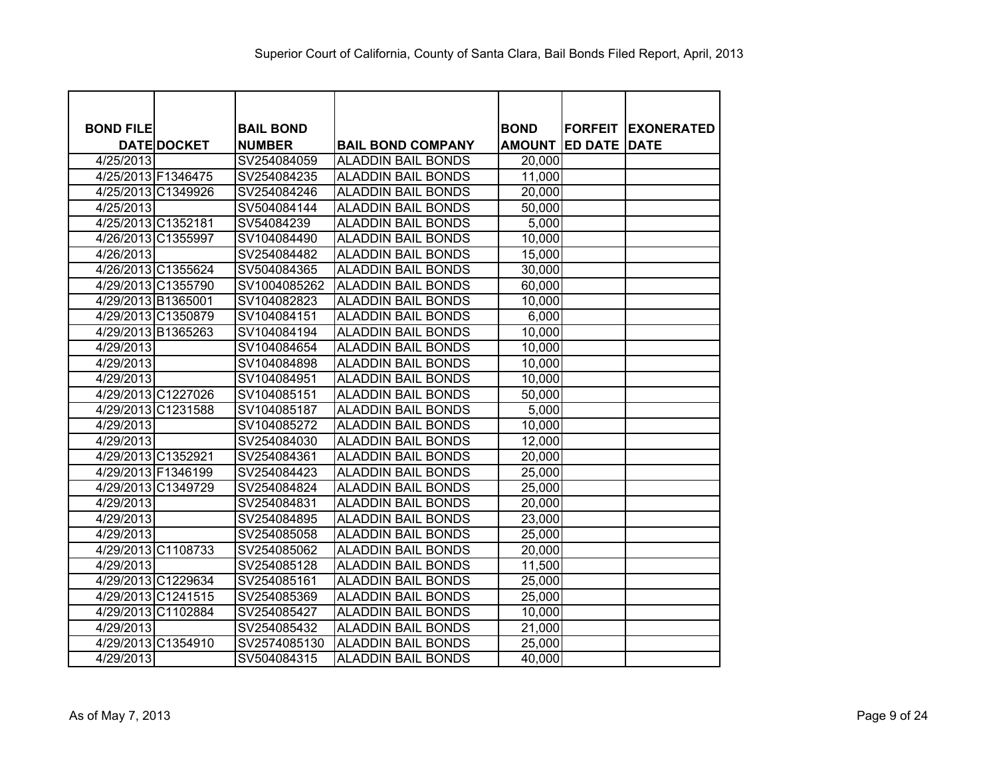| <b>BOND FILE</b> |                    | <b>BAIL BOND</b> |                           | <b>BOND</b>   | <b>FORFEIT</b>      | <b>IEXONERATED</b> |
|------------------|--------------------|------------------|---------------------------|---------------|---------------------|--------------------|
|                  | <b>DATE DOCKET</b> | <b>NUMBER</b>    | <b>BAIL BOND COMPANY</b>  | <b>AMOUNT</b> | <b>ED DATE DATE</b> |                    |
| 4/25/2013        |                    | SV254084059      | <b>ALADDIN BAIL BONDS</b> | 20,000        |                     |                    |
|                  | 4/25/2013 F1346475 | SV254084235      | <b>ALADDIN BAIL BONDS</b> | 11,000        |                     |                    |
|                  | 4/25/2013 C1349926 | SV254084246      | <b>ALADDIN BAIL BONDS</b> | 20,000        |                     |                    |
| 4/25/2013        |                    | SV504084144      | <b>ALADDIN BAIL BONDS</b> | 50,000        |                     |                    |
|                  | 4/25/2013 C1352181 | SV54084239       | <b>ALADDIN BAIL BONDS</b> | 5,000         |                     |                    |
|                  | 4/26/2013 C1355997 | SV104084490      | <b>ALADDIN BAIL BONDS</b> | 10,000        |                     |                    |
| 4/26/2013        |                    | SV254084482      | <b>ALADDIN BAIL BONDS</b> | 15,000        |                     |                    |
|                  | 4/26/2013 C1355624 | SV504084365      | <b>ALADDIN BAIL BONDS</b> | 30,000        |                     |                    |
|                  | 4/29/2013 C1355790 | SV1004085262     | <b>ALADDIN BAIL BONDS</b> | 60,000        |                     |                    |
|                  | 4/29/2013 B1365001 | SV104082823      | <b>ALADDIN BAIL BONDS</b> | 10,000        |                     |                    |
|                  | 4/29/2013 C1350879 | SV104084151      | <b>ALADDIN BAIL BONDS</b> | 6,000         |                     |                    |
|                  | 4/29/2013 B1365263 | SV104084194      | <b>ALADDIN BAIL BONDS</b> | 10,000        |                     |                    |
| 4/29/2013        |                    | SV104084654      | <b>ALADDIN BAIL BONDS</b> | 10,000        |                     |                    |
| 4/29/2013        |                    | SV104084898      | <b>ALADDIN BAIL BONDS</b> | 10,000        |                     |                    |
| 4/29/2013        |                    | SV104084951      | <b>ALADDIN BAIL BONDS</b> | 10,000        |                     |                    |
|                  | 4/29/2013 C1227026 | SV104085151      | <b>ALADDIN BAIL BONDS</b> | 50,000        |                     |                    |
|                  | 4/29/2013 C1231588 | SV104085187      | <b>ALADDIN BAIL BONDS</b> | 5,000         |                     |                    |
| 4/29/2013        |                    | SV104085272      | <b>ALADDIN BAIL BONDS</b> | 10,000        |                     |                    |
| 4/29/2013        |                    | SV254084030      | <b>ALADDIN BAIL BONDS</b> | 12,000        |                     |                    |
|                  | 4/29/2013 C1352921 | SV254084361      | <b>ALADDIN BAIL BONDS</b> | 20,000        |                     |                    |
|                  | 4/29/2013 F1346199 | SV254084423      | <b>ALADDIN BAIL BONDS</b> | 25,000        |                     |                    |
|                  | 4/29/2013 C1349729 | SV254084824      | <b>ALADDIN BAIL BONDS</b> | 25,000        |                     |                    |
| 4/29/2013        |                    | SV254084831      | <b>ALADDIN BAIL BONDS</b> | 20,000        |                     |                    |
| 4/29/2013        |                    | SV254084895      | <b>ALADDIN BAIL BONDS</b> | 23,000        |                     |                    |
| 4/29/2013        |                    | SV254085058      | <b>ALADDIN BAIL BONDS</b> | 25,000        |                     |                    |
|                  | 4/29/2013 C1108733 | SV254085062      | <b>ALADDIN BAIL BONDS</b> | 20,000        |                     |                    |
| 4/29/2013        |                    | SV254085128      | <b>ALADDIN BAIL BONDS</b> | 11,500        |                     |                    |
|                  | 4/29/2013 C1229634 | SV254085161      | <b>ALADDIN BAIL BONDS</b> | 25,000        |                     |                    |
|                  | 4/29/2013 C1241515 | SV254085369      | <b>ALADDIN BAIL BONDS</b> | 25,000        |                     |                    |
|                  | 4/29/2013 C1102884 | SV254085427      | <b>ALADDIN BAIL BONDS</b> | 10,000        |                     |                    |
| 4/29/2013        |                    | SV254085432      | <b>ALADDIN BAIL BONDS</b> | 21,000        |                     |                    |
|                  | 4/29/2013 C1354910 | SV2574085130     | <b>ALADDIN BAIL BONDS</b> | 25,000        |                     |                    |
| 4/29/2013        |                    | SV504084315      | <b>ALADDIN BAIL BONDS</b> | 40,000        |                     |                    |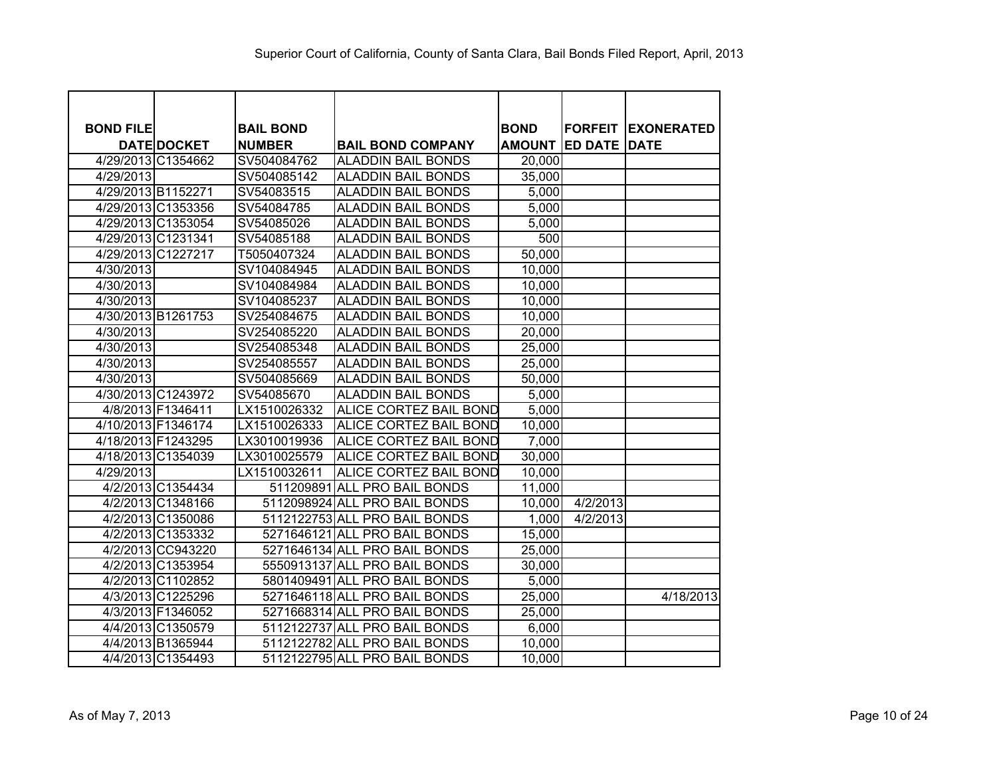| <b>BOND FILE</b> |                    | <b>BAIL BOND</b> |                               | <b>BOND</b>   |                     | <b>FORFEIT EXONERATED</b> |
|------------------|--------------------|------------------|-------------------------------|---------------|---------------------|---------------------------|
|                  | <b>DATE DOCKET</b> | <b>NUMBER</b>    | <b>BAIL BOND COMPANY</b>      | <b>AMOUNT</b> | <b>ED DATE DATE</b> |                           |
|                  | 4/29/2013 C1354662 | SV504084762      | <b>ALADDIN BAIL BONDS</b>     | 20,000        |                     |                           |
| 4/29/2013        |                    | SV504085142      | <b>ALADDIN BAIL BONDS</b>     | 35,000        |                     |                           |
|                  | 4/29/2013 B1152271 | SV54083515       | <b>ALADDIN BAIL BONDS</b>     | 5,000         |                     |                           |
|                  | 4/29/2013 C1353356 | SV54084785       | <b>ALADDIN BAIL BONDS</b>     | 5,000         |                     |                           |
|                  | 4/29/2013 C1353054 | SV54085026       | <b>ALADDIN BAIL BONDS</b>     | 5,000         |                     |                           |
|                  | 4/29/2013 C1231341 | SV54085188       | <b>ALADDIN BAIL BONDS</b>     | 500           |                     |                           |
|                  | 4/29/2013 C1227217 | T5050407324      | <b>ALADDIN BAIL BONDS</b>     | 50,000        |                     |                           |
| 4/30/2013        |                    | SV104084945      | <b>ALADDIN BAIL BONDS</b>     | 10,000        |                     |                           |
| 4/30/2013        |                    | SV104084984      | <b>ALADDIN BAIL BONDS</b>     | 10,000        |                     |                           |
| 4/30/2013        |                    | SV104085237      | <b>ALADDIN BAIL BONDS</b>     | 10,000        |                     |                           |
|                  | 4/30/2013 B1261753 | SV254084675      | <b>ALADDIN BAIL BONDS</b>     | 10,000        |                     |                           |
| 4/30/2013        |                    | SV254085220      | <b>ALADDIN BAIL BONDS</b>     | 20,000        |                     |                           |
| 4/30/2013        |                    | SV254085348      | <b>ALADDIN BAIL BONDS</b>     | 25,000        |                     |                           |
| 4/30/2013        |                    | SV254085557      | <b>ALADDIN BAIL BONDS</b>     | 25,000        |                     |                           |
| 4/30/2013        |                    | SV504085669      | <b>ALADDIN BAIL BONDS</b>     | 50,000        |                     |                           |
|                  | 4/30/2013 C1243972 | SV54085670       | <b>ALADDIN BAIL BONDS</b>     | 5,000         |                     |                           |
|                  | 4/8/2013 F1346411  | LX1510026332     | ALICE CORTEZ BAIL BOND        | 5,000         |                     |                           |
|                  | 4/10/2013 F1346174 | LX1510026333     | ALICE CORTEZ BAIL BOND        | 10,000        |                     |                           |
|                  | 4/18/2013 F1243295 | LX3010019936     | ALICE CORTEZ BAIL BOND        | 7,000         |                     |                           |
|                  | 4/18/2013 C1354039 | LX3010025579     | ALICE CORTEZ BAIL BOND        | 30,000        |                     |                           |
| 4/29/2013        |                    | LX1510032611     | <b>ALICE CORTEZ BAIL BOND</b> | 10,000        |                     |                           |
|                  | 4/2/2013 C1354434  |                  | 511209891 ALL PRO BAIL BONDS  | 11,000        |                     |                           |
|                  | 4/2/2013 C1348166  |                  | 5112098924 ALL PRO BAIL BONDS | 10,000        | 4/2/2013            |                           |
|                  | 4/2/2013 C1350086  |                  | 5112122753 ALL PRO BAIL BONDS | 1,000         | 4/2/2013            |                           |
|                  | 4/2/2013 C1353332  |                  | 5271646121 ALL PRO BAIL BONDS | 15,000        |                     |                           |
|                  | 4/2/2013 CC943220  |                  | 5271646134 ALL PRO BAIL BONDS | 25,000        |                     |                           |
|                  | 4/2/2013 C1353954  |                  | 5550913137 ALL PRO BAIL BONDS | 30,000        |                     |                           |
|                  | 4/2/2013 C1102852  |                  | 5801409491 ALL PRO BAIL BONDS | 5,000         |                     |                           |
|                  | 4/3/2013 C1225296  |                  | 5271646118 ALL PRO BAIL BONDS | 25,000        |                     | 4/18/2013                 |
|                  | 4/3/2013 F1346052  |                  | 5271668314 ALL PRO BAIL BONDS | 25,000        |                     |                           |
|                  | 4/4/2013 C1350579  |                  | 5112122737 ALL PRO BAIL BONDS | 6,000         |                     |                           |
|                  | 4/4/2013 B1365944  |                  | 5112122782 ALL PRO BAIL BONDS | 10,000        |                     |                           |
|                  | 4/4/2013 C1354493  |                  | 5112122795 ALL PRO BAIL BONDS | 10,000        |                     |                           |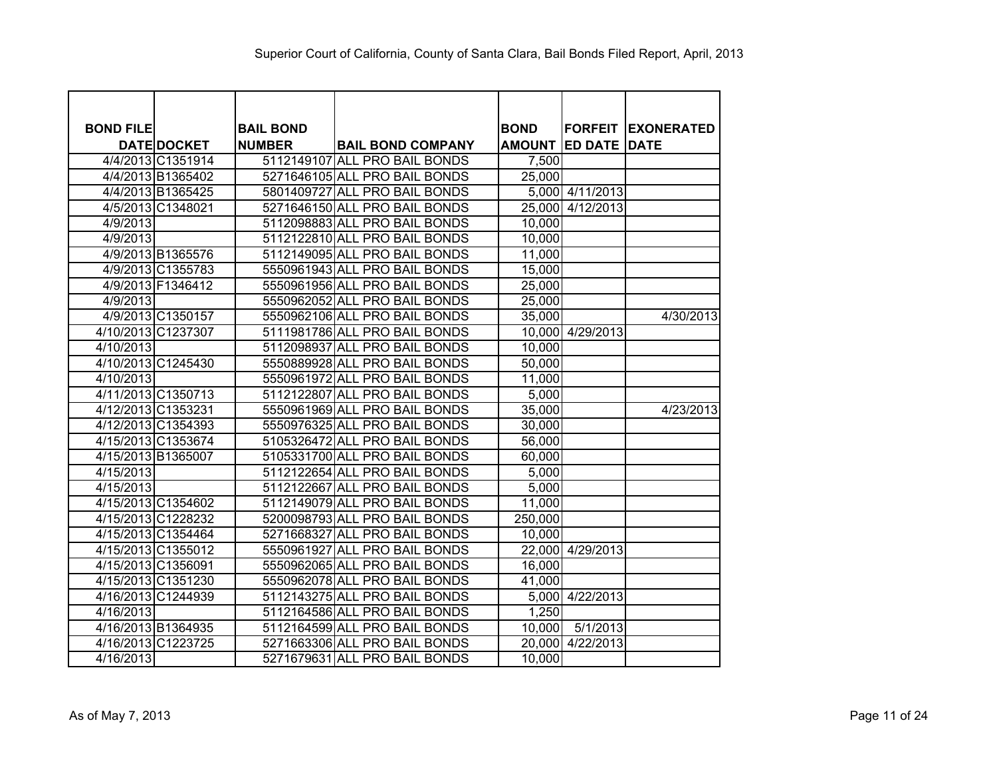| <b>BOND FILE</b>   |                    | <b>BAIL BOND</b> |                               | <b>BOND</b> |                            | <b>FORFEIT EXONERATED</b> |
|--------------------|--------------------|------------------|-------------------------------|-------------|----------------------------|---------------------------|
|                    | <b>DATE DOCKET</b> | <b>NUMBER</b>    | <b>BAIL BOND COMPANY</b>      |             | <b>AMOUNT ED DATE DATE</b> |                           |
|                    | 4/4/2013 C1351914  |                  | 5112149107 ALL PRO BAIL BONDS | 7,500       |                            |                           |
|                    | 4/4/2013 B1365402  |                  | 5271646105 ALL PRO BAIL BONDS | 25,000      |                            |                           |
|                    | 4/4/2013 B1365425  |                  | 5801409727 ALL PRO BAIL BONDS |             | 5,000 4/11/2013            |                           |
|                    | 4/5/2013 C1348021  |                  | 5271646150 ALL PRO BAIL BONDS |             | 25,000 4/12/2013           |                           |
| $\frac{4}{9/2013}$ |                    |                  | 5112098883 ALL PRO BAIL BONDS | 10,000      |                            |                           |
| 4/9/2013           |                    |                  | 5112122810 ALL PRO BAIL BONDS | 10,000      |                            |                           |
|                    | 4/9/2013 B1365576  |                  | 5112149095 ALL PRO BAIL BONDS | 11,000      |                            |                           |
|                    | 4/9/2013 C1355783  |                  | 5550961943 ALL PRO BAIL BONDS | 15,000      |                            |                           |
|                    | 4/9/2013 F1346412  |                  | 5550961956 ALL PRO BAIL BONDS | 25,000      |                            |                           |
| 4/9/2013           |                    |                  | 5550962052 ALL PRO BAIL BONDS | 25,000      |                            |                           |
|                    | 4/9/2013 C1350157  |                  | 5550962106 ALL PRO BAIL BONDS | 35,000      |                            | 4/30/2013                 |
|                    | 4/10/2013 C1237307 |                  | 5111981786 ALL PRO BAIL BONDS |             | 10,000 4/29/2013           |                           |
| 4/10/2013          |                    |                  | 5112098937 ALL PRO BAIL BONDS | 10,000      |                            |                           |
|                    | 4/10/2013 C1245430 |                  | 5550889928 ALL PRO BAIL BONDS | 50,000      |                            |                           |
| 4/10/2013          |                    |                  | 5550961972 ALL PRO BAIL BONDS | 11,000      |                            |                           |
|                    | 4/11/2013 C1350713 |                  | 5112122807 ALL PRO BAIL BONDS | 5,000       |                            |                           |
|                    | 4/12/2013 C1353231 |                  | 5550961969 ALL PRO BAIL BONDS | 35,000      |                            | 4/23/2013                 |
|                    | 4/12/2013 C1354393 |                  | 5550976325 ALL PRO BAIL BONDS | 30,000      |                            |                           |
|                    | 4/15/2013 C1353674 |                  | 5105326472 ALL PRO BAIL BONDS | 56,000      |                            |                           |
|                    | 4/15/2013 B1365007 |                  | 5105331700 ALL PRO BAIL BONDS | 60,000      |                            |                           |
| 4/15/2013          |                    |                  | 5112122654 ALL PRO BAIL BONDS | 5,000       |                            |                           |
| 4/15/2013          |                    |                  | 5112122667 ALL PRO BAIL BONDS | 5,000       |                            |                           |
|                    | 4/15/2013 C1354602 |                  | 5112149079 ALL PRO BAIL BONDS | 11,000      |                            |                           |
|                    | 4/15/2013 C1228232 |                  | 5200098793 ALL PRO BAIL BONDS | 250,000     |                            |                           |
|                    | 4/15/2013 C1354464 |                  | 5271668327 ALL PRO BAIL BONDS | 10,000      |                            |                           |
|                    | 4/15/2013 C1355012 |                  | 5550961927 ALL PRO BAIL BONDS |             | 22,000 4/29/2013           |                           |
|                    | 4/15/2013 C1356091 |                  | 5550962065 ALL PRO BAIL BONDS | 16,000      |                            |                           |
|                    | 4/15/2013 C1351230 |                  | 5550962078 ALL PRO BAIL BONDS | 41,000      |                            |                           |
|                    | 4/16/2013 C1244939 |                  | 5112143275 ALL PRO BAIL BONDS |             | 5,000 4/22/2013            |                           |
| 4/16/2013          |                    |                  | 5112164586 ALL PRO BAIL BONDS | 1,250       |                            |                           |
|                    | 4/16/2013 B1364935 |                  | 5112164599 ALL PRO BAIL BONDS | 10,000      | 5/1/2013                   |                           |
|                    | 4/16/2013 C1223725 |                  | 5271663306 ALL PRO BAIL BONDS | 20,000      | $\sqrt{4}/22/2013$         |                           |
| 4/16/2013          |                    |                  | 5271679631 ALL PRO BAIL BONDS | 10,000      |                            |                           |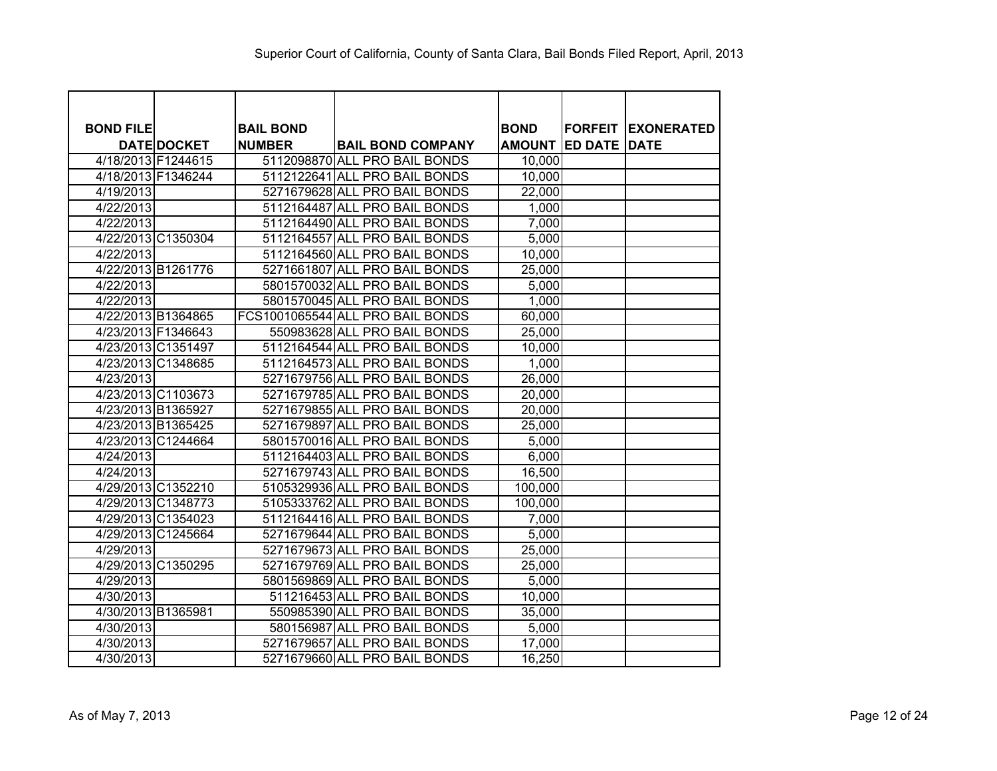| <b>BOND FILE</b> |                    | <b>BAIL BOND</b> |                                  | <b>BOND</b>   |                | <b>FORFEIT EXONERATED</b> |
|------------------|--------------------|------------------|----------------------------------|---------------|----------------|---------------------------|
|                  | <b>DATE DOCKET</b> | <b>NUMBER</b>    | <b>BAIL BOND COMPANY</b>         | <b>AMOUNT</b> | <b>ED DATE</b> | <b>DATE</b>               |
|                  | 4/18/2013 F1244615 |                  | 5112098870 ALL PRO BAIL BONDS    | 10,000        |                |                           |
|                  | 4/18/2013 F1346244 |                  | 5112122641 ALL PRO BAIL BONDS    | 10,000        |                |                           |
| 4/19/2013        |                    |                  | 5271679628 ALL PRO BAIL BONDS    | 22,000        |                |                           |
| 4/22/2013        |                    |                  | 5112164487 ALL PRO BAIL BONDS    | 1,000         |                |                           |
| 4/22/2013        |                    |                  | 5112164490 ALL PRO BAIL BONDS    | 7,000         |                |                           |
|                  | 4/22/2013 C1350304 |                  | 5112164557 ALL PRO BAIL BONDS    | 5,000         |                |                           |
| 4/22/2013        |                    |                  | 5112164560 ALL PRO BAIL BONDS    | 10,000        |                |                           |
|                  | 4/22/2013 B1261776 |                  | 5271661807 ALL PRO BAIL BONDS    | 25,000        |                |                           |
| 4/22/2013        |                    |                  | 5801570032 ALL PRO BAIL BONDS    | 5.000         |                |                           |
| 4/22/2013        |                    |                  | 5801570045 ALL PRO BAIL BONDS    | 1,000         |                |                           |
|                  | 4/22/2013 B1364865 |                  | FCS1001065544 ALL PRO BAIL BONDS | 60,000        |                |                           |
|                  | 4/23/2013 F1346643 |                  | 550983628 ALL PRO BAIL BONDS     | 25,000        |                |                           |
|                  | 4/23/2013 C1351497 |                  | 5112164544 ALL PRO BAIL BONDS    | 10,000        |                |                           |
|                  | 4/23/2013 C1348685 |                  | 5112164573 ALL PRO BAIL BONDS    | 1,000         |                |                           |
| 4/23/2013        |                    |                  | 5271679756 ALL PRO BAIL BONDS    | 26,000        |                |                           |
|                  | 4/23/2013 C1103673 |                  | 5271679785 ALL PRO BAIL BONDS    | 20,000        |                |                           |
|                  | 4/23/2013 B1365927 |                  | 5271679855 ALL PRO BAIL BONDS    | 20,000        |                |                           |
|                  | 4/23/2013 B1365425 |                  | 5271679897 ALL PRO BAIL BONDS    | 25,000        |                |                           |
|                  | 4/23/2013 C1244664 |                  | 5801570016 ALL PRO BAIL BONDS    | 5,000         |                |                           |
| 4/24/2013        |                    |                  | 5112164403 ALL PRO BAIL BONDS    | 6,000         |                |                           |
| 4/24/2013        |                    |                  | 5271679743 ALL PRO BAIL BONDS    | 16,500        |                |                           |
|                  | 4/29/2013 C1352210 |                  | 5105329936 ALL PRO BAIL BONDS    | 100,000       |                |                           |
|                  | 4/29/2013 C1348773 |                  | 5105333762 ALL PRO BAIL BONDS    | 100,000       |                |                           |
|                  | 4/29/2013 C1354023 |                  | 5112164416 ALL PRO BAIL BONDS    | 7,000         |                |                           |
|                  | 4/29/2013 C1245664 |                  | 5271679644 ALL PRO BAIL BONDS    | 5,000         |                |                           |
| 4/29/2013        |                    |                  | 5271679673 ALL PRO BAIL BONDS    | 25,000        |                |                           |
|                  | 4/29/2013 C1350295 |                  | 5271679769 ALL PRO BAIL BONDS    | 25,000        |                |                           |
| 4/29/2013        |                    |                  | 5801569869 ALL PRO BAIL BONDS    | 5,000         |                |                           |
| 4/30/2013        |                    |                  | 511216453 ALL PRO BAIL BONDS     | 10,000        |                |                           |
|                  | 4/30/2013 B1365981 |                  | 550985390 ALL PRO BAIL BONDS     | 35,000        |                |                           |
| 4/30/2013        |                    |                  | 580156987 ALL PRO BAIL BONDS     | 5,000         |                |                           |
| 4/30/2013        |                    |                  | 5271679657 ALL PRO BAIL BONDS    | 17,000        |                |                           |
| 4/30/2013        |                    |                  | 5271679660 ALL PRO BAIL BONDS    | 16,250        |                |                           |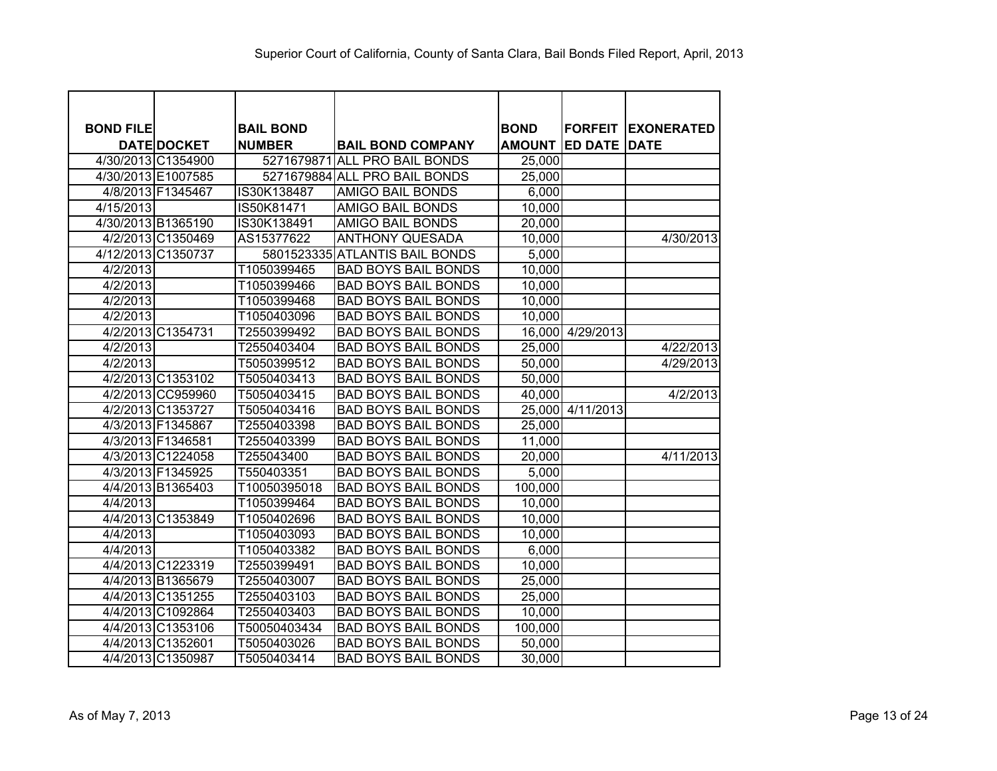| <b>BOND FILE</b> |                    | <b>BAIL BOND</b> |                                | <b>BOND</b>   | <b>FORFEIT</b>   | <b>IEXONERATED</b> |
|------------------|--------------------|------------------|--------------------------------|---------------|------------------|--------------------|
|                  | <b>DATE DOCKET</b> | <b>NUMBER</b>    | <b>BAIL BOND COMPANY</b>       | <b>AMOUNT</b> | <b>ED DATE</b>   | <b>DATE</b>        |
|                  | 4/30/2013 C1354900 |                  | 5271679871 ALL PRO BAIL BONDS  | 25,000        |                  |                    |
|                  | 4/30/2013 E1007585 |                  | 5271679884 ALL PRO BAIL BONDS  | 25,000        |                  |                    |
|                  | 4/8/2013 F1345467  | IS30K138487      | <b>AMIGO BAIL BONDS</b>        | 6,000         |                  |                    |
| 4/15/2013        |                    | IS50K81471       | <b>AMIGO BAIL BONDS</b>        | 10,000        |                  |                    |
|                  | 4/30/2013 B1365190 | IS30K138491      | <b>AMIGO BAIL BONDS</b>        | 20,000        |                  |                    |
|                  | 4/2/2013 C1350469  | AS15377622       | <b>ANTHONY QUESADA</b>         | 10,000        |                  | 4/30/2013          |
|                  | 4/12/2013 C1350737 |                  | 5801523335 ATLANTIS BAIL BONDS | 5,000         |                  |                    |
| 4/2/2013         |                    | T1050399465      | <b>BAD BOYS BAIL BONDS</b>     | 10,000        |                  |                    |
| 4/2/2013         |                    | T1050399466      | <b>BAD BOYS BAIL BONDS</b>     | 10,000        |                  |                    |
| 4/2/2013         |                    | T1050399468      | <b>BAD BOYS BAIL BONDS</b>     | 10,000        |                  |                    |
| 4/2/2013         |                    | T1050403096      | <b>BAD BOYS BAIL BONDS</b>     | 10,000        |                  |                    |
|                  | 4/2/2013 C1354731  | T2550399492      | <b>BAD BOYS BAIL BONDS</b>     |               | 16,000 4/29/2013 |                    |
| 4/2/2013         |                    | T2550403404      | <b>BAD BOYS BAIL BONDS</b>     | 25,000        |                  | 4/22/2013          |
| 4/2/2013         |                    | T5050399512      | <b>BAD BOYS BAIL BONDS</b>     | 50,000        |                  | 4/29/2013          |
|                  | 4/2/2013 C1353102  | T5050403413      | <b>BAD BOYS BAIL BONDS</b>     | 50,000        |                  |                    |
|                  | 4/2/2013 CC959960  | T5050403415      | <b>BAD BOYS BAIL BONDS</b>     | 40,000        |                  | 4/2/2013           |
|                  | 4/2/2013 C1353727  | T5050403416      | <b>BAD BOYS BAIL BONDS</b>     |               | 25,000 4/11/2013 |                    |
|                  | 4/3/2013 F1345867  | T2550403398      | <b>BAD BOYS BAIL BONDS</b>     | 25,000        |                  |                    |
|                  | 4/3/2013 F1346581  | T2550403399      | <b>BAD BOYS BAIL BONDS</b>     | 11,000        |                  |                    |
|                  | 4/3/2013 C1224058  | T255043400       | <b>BAD BOYS BAIL BONDS</b>     | 20,000        |                  | 4/11/2013          |
|                  | 4/3/2013 F1345925  | T550403351       | <b>BAD BOYS BAIL BONDS</b>     | 5,000         |                  |                    |
|                  | 4/4/2013 B1365403  | T10050395018     | <b>BAD BOYS BAIL BONDS</b>     | 100,000       |                  |                    |
| 4/4/2013         |                    | T1050399464      | <b>BAD BOYS BAIL BONDS</b>     | 10,000        |                  |                    |
|                  | 4/4/2013 C1353849  | T1050402696      | <b>BAD BOYS BAIL BONDS</b>     | 10,000        |                  |                    |
| 4/4/2013         |                    | T1050403093      | <b>BAD BOYS BAIL BONDS</b>     | 10,000        |                  |                    |
| 4/4/2013         |                    | T1050403382      | <b>BAD BOYS BAIL BONDS</b>     | 6,000         |                  |                    |
|                  | 4/4/2013 C1223319  | T2550399491      | <b>BAD BOYS BAIL BONDS</b>     | 10,000        |                  |                    |
|                  | 4/4/2013 B1365679  | T2550403007      | <b>BAD BOYS BAIL BONDS</b>     | 25,000        |                  |                    |
|                  | 4/4/2013 C1351255  | T2550403103      | <b>BAD BOYS BAIL BONDS</b>     | 25,000        |                  |                    |
|                  | 4/4/2013 C1092864  | T2550403403      | <b>BAD BOYS BAIL BONDS</b>     | 10,000        |                  |                    |
|                  | 4/4/2013 C1353106  | T50050403434     | <b>BAD BOYS BAIL BONDS</b>     | 100,000       |                  |                    |
|                  | 4/4/2013 C1352601  | T5050403026      | <b>BAD BOYS BAIL BONDS</b>     | 50,000        |                  |                    |
|                  | 4/4/2013 C1350987  | T5050403414      | <b>BAD BOYS BAIL BONDS</b>     | 30,000        |                  |                    |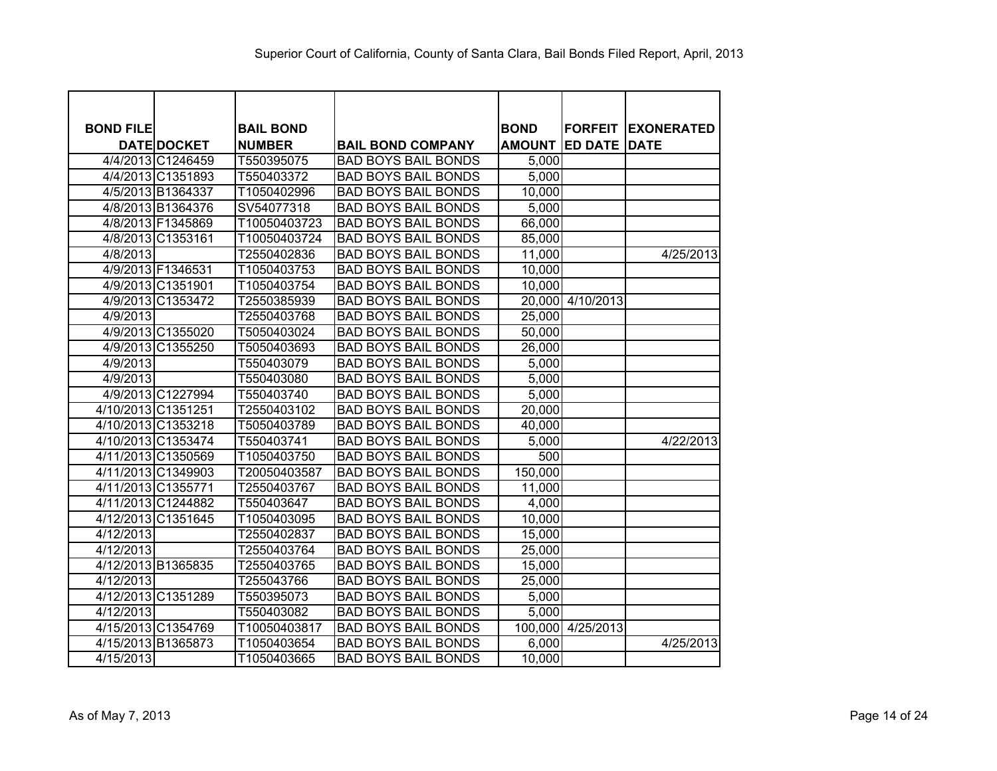| <b>BOND FILE</b> |                    | <b>BAIL BOND</b> |                            | <b>BOND</b>   | <b>FORFEIT</b>      | <b>IEXONERATED</b> |
|------------------|--------------------|------------------|----------------------------|---------------|---------------------|--------------------|
|                  | <b>DATE DOCKET</b> | <b>NUMBER</b>    | <b>BAIL BOND COMPANY</b>   | <b>AMOUNT</b> | <b>ED DATE DATE</b> |                    |
|                  | 4/4/2013 C1246459  | T550395075       | <b>BAD BOYS BAIL BONDS</b> | 5,000         |                     |                    |
|                  | 4/4/2013 C1351893  | T550403372       | <b>BAD BOYS BAIL BONDS</b> | 5,000         |                     |                    |
|                  | 4/5/2013 B1364337  | T1050402996      | <b>BAD BOYS BAIL BONDS</b> | 10,000        |                     |                    |
|                  | 4/8/2013 B1364376  | SV54077318       | <b>BAD BOYS BAIL BONDS</b> | 5,000         |                     |                    |
|                  | 4/8/2013 F1345869  | T10050403723     | <b>BAD BOYS BAIL BONDS</b> | 66,000        |                     |                    |
|                  | 4/8/2013 C1353161  | T10050403724     | <b>BAD BOYS BAIL BONDS</b> | 85,000        |                     |                    |
| 4/8/2013         |                    | T2550402836      | <b>BAD BOYS BAIL BONDS</b> | 11,000        |                     | 4/25/2013          |
|                  | 4/9/2013 F1346531  | T1050403753      | <b>BAD BOYS BAIL BONDS</b> | 10,000        |                     |                    |
|                  | 4/9/2013 C1351901  | T1050403754      | <b>BAD BOYS BAIL BONDS</b> | 10,000        |                     |                    |
|                  | 4/9/2013 C1353472  | T2550385939      | <b>BAD BOYS BAIL BONDS</b> |               | 20,000 4/10/2013    |                    |
| 4/9/2013         |                    | T2550403768      | <b>BAD BOYS BAIL BONDS</b> | 25,000        |                     |                    |
|                  | 4/9/2013 C1355020  | T5050403024      | <b>BAD BOYS BAIL BONDS</b> | 50,000        |                     |                    |
|                  | 4/9/2013 C1355250  | T5050403693      | <b>BAD BOYS BAIL BONDS</b> | 26,000        |                     |                    |
| 4/9/2013         |                    | T550403079       | <b>BAD BOYS BAIL BONDS</b> | 5,000         |                     |                    |
| 4/9/2013         |                    | T550403080       | <b>BAD BOYS BAIL BONDS</b> | 5,000         |                     |                    |
|                  | 4/9/2013 C1227994  | T550403740       | <b>BAD BOYS BAIL BONDS</b> | 5,000         |                     |                    |
|                  | 4/10/2013 C1351251 | T2550403102      | <b>BAD BOYS BAIL BONDS</b> | 20,000        |                     |                    |
|                  | 4/10/2013 C1353218 | T5050403789      | <b>BAD BOYS BAIL BONDS</b> | 40,000        |                     |                    |
|                  | 4/10/2013 C1353474 | T550403741       | <b>BAD BOYS BAIL BONDS</b> | 5,000         |                     | 4/22/2013          |
|                  | 4/11/2013 C1350569 | T1050403750      | <b>BAD BOYS BAIL BONDS</b> | 500           |                     |                    |
|                  | 4/11/2013 C1349903 | T20050403587     | <b>BAD BOYS BAIL BONDS</b> | 150,000       |                     |                    |
|                  | 4/11/2013 C1355771 | T2550403767      | <b>BAD BOYS BAIL BONDS</b> | 11,000        |                     |                    |
|                  | 4/11/2013 C1244882 | T550403647       | <b>BAD BOYS BAIL BONDS</b> | 4,000         |                     |                    |
|                  | 4/12/2013 C1351645 | T1050403095      | <b>BAD BOYS BAIL BONDS</b> | 10,000        |                     |                    |
| 4/12/2013        |                    | T2550402837      | <b>BAD BOYS BAIL BONDS</b> | 15,000        |                     |                    |
| 4/12/2013        |                    | T2550403764      | <b>BAD BOYS BAIL BONDS</b> | 25,000        |                     |                    |
|                  | 4/12/2013 B1365835 | T2550403765      | <b>BAD BOYS BAIL BONDS</b> | 15,000        |                     |                    |
| 4/12/2013        |                    | T255043766       | <b>BAD BOYS BAIL BONDS</b> | 25,000        |                     |                    |
|                  | 4/12/2013 C1351289 | T550395073       | <b>BAD BOYS BAIL BONDS</b> | 5,000         |                     |                    |
| 4/12/2013        |                    | T550403082       | <b>BAD BOYS BAIL BONDS</b> | 5,000         |                     |                    |
|                  | 4/15/2013 C1354769 | T10050403817     | <b>BAD BOYS BAIL BONDS</b> | 100,000       | 4/25/2013           |                    |
|                  | 4/15/2013 B1365873 | T1050403654      | <b>BAD BOYS BAIL BONDS</b> | 6,000         |                     | 4/25/2013          |
| 4/15/2013        |                    | T1050403665      | <b>BAD BOYS BAIL BONDS</b> | 10,000        |                     |                    |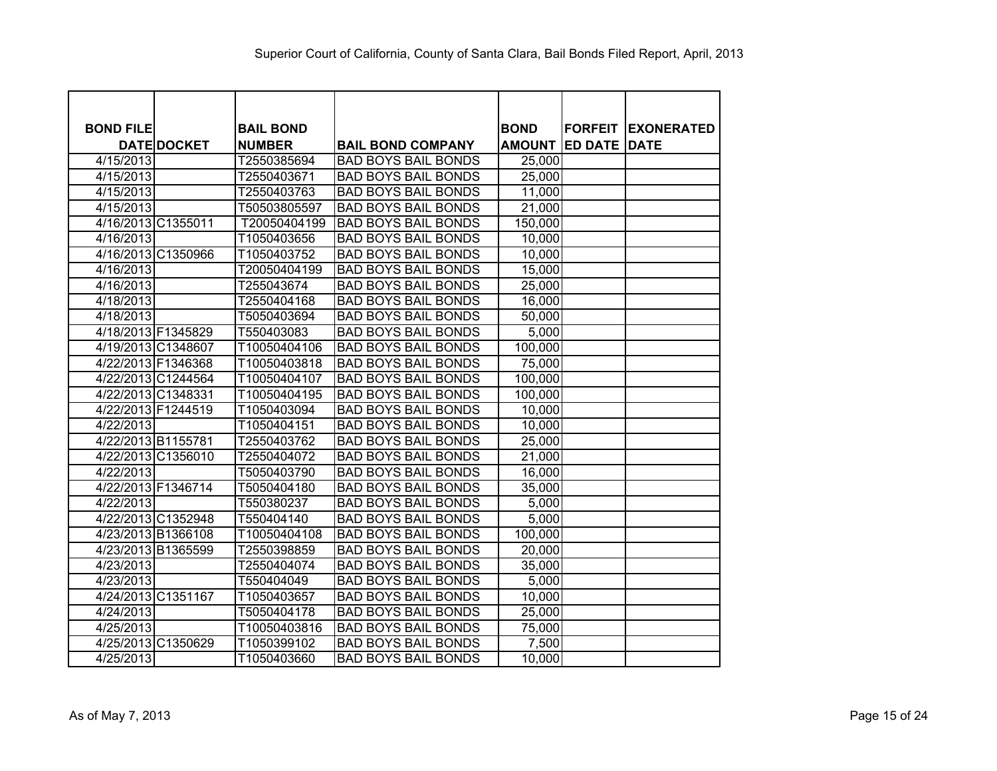| <b>BOND FILE</b> |                    | <b>BAIL BOND</b> |                            | <b>BOND</b>   | <b>FORFEIT</b> | <b>IEXONERATED</b> |
|------------------|--------------------|------------------|----------------------------|---------------|----------------|--------------------|
|                  | <b>DATE DOCKET</b> | <b>NUMBER</b>    | <b>BAIL BOND COMPANY</b>   | <b>AMOUNT</b> | <b>ED DATE</b> | <b>DATE</b>        |
| 4/15/2013        |                    | T2550385694      | <b>BAD BOYS BAIL BONDS</b> | 25,000        |                |                    |
| 4/15/2013        |                    | T2550403671      | <b>BAD BOYS BAIL BONDS</b> | 25,000        |                |                    |
| 4/15/2013        |                    | T2550403763      | <b>BAD BOYS BAIL BONDS</b> | 11,000        |                |                    |
| 4/15/2013        |                    | T50503805597     | <b>BAD BOYS BAIL BONDS</b> | 21,000        |                |                    |
|                  | 4/16/2013 C1355011 | T20050404199     | <b>BAD BOYS BAIL BONDS</b> | 150,000       |                |                    |
| 4/16/2013        |                    | T1050403656      | <b>BAD BOYS BAIL BONDS</b> | 10,000        |                |                    |
|                  | 4/16/2013 C1350966 | T1050403752      | <b>BAD BOYS BAIL BONDS</b> | 10,000        |                |                    |
| 4/16/2013        |                    | T20050404199     | <b>BAD BOYS BAIL BONDS</b> | 15,000        |                |                    |
| 4/16/2013        |                    | T255043674       | <b>BAD BOYS BAIL BONDS</b> | 25,000        |                |                    |
| 4/18/2013        |                    | T2550404168      | <b>BAD BOYS BAIL BONDS</b> | 16,000        |                |                    |
| 4/18/2013        |                    | T5050403694      | <b>BAD BOYS BAIL BONDS</b> | 50,000        |                |                    |
|                  | 4/18/2013 F1345829 | T550403083       | <b>BAD BOYS BAIL BONDS</b> | 5,000         |                |                    |
|                  | 4/19/2013 C1348607 | T10050404106     | <b>BAD BOYS BAIL BONDS</b> | 100,000       |                |                    |
|                  | 4/22/2013 F1346368 | T10050403818     | <b>BAD BOYS BAIL BONDS</b> | 75,000        |                |                    |
|                  | 4/22/2013 C1244564 | T10050404107     | <b>BAD BOYS BAIL BONDS</b> | 100,000       |                |                    |
|                  | 4/22/2013 C1348331 | T10050404195     | <b>BAD BOYS BAIL BONDS</b> | 100,000       |                |                    |
|                  | 4/22/2013 F1244519 | T1050403094      | <b>BAD BOYS BAIL BONDS</b> | 10,000        |                |                    |
| 4/22/2013        |                    | T1050404151      | <b>BAD BOYS BAIL BONDS</b> | 10,000        |                |                    |
|                  | 4/22/2013 B1155781 | T2550403762      | <b>BAD BOYS BAIL BONDS</b> | 25,000        |                |                    |
|                  | 4/22/2013 C1356010 | T2550404072      | <b>BAD BOYS BAIL BONDS</b> | 21,000        |                |                    |
| 4/22/2013        |                    | T5050403790      | <b>BAD BOYS BAIL BONDS</b> | 16,000        |                |                    |
|                  | 4/22/2013 F1346714 | T5050404180      | <b>BAD BOYS BAIL BONDS</b> | 35,000        |                |                    |
| 4/22/2013        |                    | T550380237       | <b>BAD BOYS BAIL BONDS</b> | 5,000         |                |                    |
|                  | 4/22/2013 C1352948 | T550404140       | <b>BAD BOYS BAIL BONDS</b> | 5,000         |                |                    |
|                  | 4/23/2013 B1366108 | T10050404108     | <b>BAD BOYS BAIL BONDS</b> | 100,000       |                |                    |
|                  | 4/23/2013 B1365599 | T2550398859      | <b>BAD BOYS BAIL BONDS</b> | 20,000        |                |                    |
| 4/23/2013        |                    | T2550404074      | <b>BAD BOYS BAIL BONDS</b> | 35,000        |                |                    |
| 4/23/2013        |                    | T550404049       | <b>BAD BOYS BAIL BONDS</b> | 5,000         |                |                    |
|                  | 4/24/2013 C1351167 | T1050403657      | <b>BAD BOYS BAIL BONDS</b> | 10,000        |                |                    |
| 4/24/2013        |                    | T5050404178      | <b>BAD BOYS BAIL BONDS</b> | 25,000        |                |                    |
| 4/25/2013        |                    | T10050403816     | <b>BAD BOYS BAIL BONDS</b> | 75,000        |                |                    |
|                  | 4/25/2013 C1350629 | T1050399102      | <b>BAD BOYS BAIL BONDS</b> | 7,500         |                |                    |
| 4/25/2013        |                    | T1050403660      | <b>BAD BOYS BAIL BONDS</b> | 10,000        |                |                    |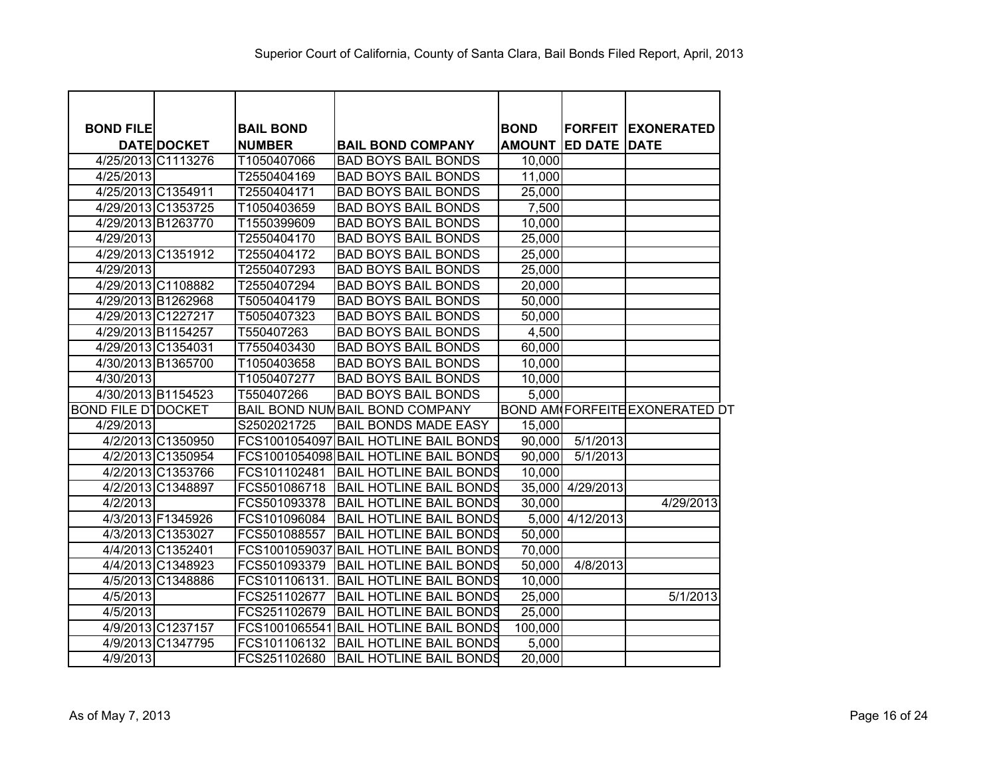| <b>BOND FILE</b>          | <b>DATE DOCKET</b> | <b>BAIL BOND</b><br><b>NUMBER</b> | <b>BAIL BOND COMPANY</b>              | <b>BOND</b><br><b>AMOUNT</b> | <b>FORFEIT</b><br><b>ED DATE</b> | <b>EXONERATED</b><br><b>DATE</b>      |
|---------------------------|--------------------|-----------------------------------|---------------------------------------|------------------------------|----------------------------------|---------------------------------------|
|                           | 4/25/2013 C1113276 | T1050407066                       | <b>BAD BOYS BAIL BONDS</b>            | 10,000                       |                                  |                                       |
| 4/25/2013                 |                    | T2550404169                       | <b>BAD BOYS BAIL BONDS</b>            | 11,000                       |                                  |                                       |
|                           | 4/25/2013 C1354911 | T2550404171                       | <b>BAD BOYS BAIL BONDS</b>            | 25,000                       |                                  |                                       |
|                           | 4/29/2013 C1353725 | T1050403659                       | <b>BAD BOYS BAIL BONDS</b>            | 7,500                        |                                  |                                       |
|                           | 4/29/2013 B1263770 | T1550399609                       | <b>BAD BOYS BAIL BONDS</b>            | 10,000                       |                                  |                                       |
| 4/29/2013                 |                    | T2550404170                       | <b>BAD BOYS BAIL BONDS</b>            | 25,000                       |                                  |                                       |
|                           | 4/29/2013 C1351912 | T2550404172                       | <b>BAD BOYS BAIL BONDS</b>            | 25,000                       |                                  |                                       |
| 4/29/2013                 |                    | T2550407293                       | <b>BAD BOYS BAIL BONDS</b>            | 25,000                       |                                  |                                       |
|                           | 4/29/2013 C1108882 | T2550407294                       | <b>BAD BOYS BAIL BONDS</b>            | 20,000                       |                                  |                                       |
|                           | 4/29/2013 B1262968 | T5050404179                       | <b>BAD BOYS BAIL BONDS</b>            | 50,000                       |                                  |                                       |
|                           | 4/29/2013 C1227217 | T5050407323                       | <b>BAD BOYS BAIL BONDS</b>            | 50,000                       |                                  |                                       |
|                           | 4/29/2013 B1154257 | T550407263                        | <b>BAD BOYS BAIL BONDS</b>            | 4,500                        |                                  |                                       |
|                           | 4/29/2013 C1354031 | T7550403430                       | <b>BAD BOYS BAIL BONDS</b>            | 60,000                       |                                  |                                       |
|                           | 4/30/2013 B1365700 | T1050403658                       | <b>BAD BOYS BAIL BONDS</b>            | 10,000                       |                                  |                                       |
| 4/30/2013                 |                    | T1050407277                       | <b>BAD BOYS BAIL BONDS</b>            | 10,000                       |                                  |                                       |
|                           | 4/30/2013 B1154523 | T550407266                        | <b>BAD BOYS BAIL BONDS</b>            | 5,000                        |                                  |                                       |
| <b>BOND FILE DIDOCKET</b> |                    |                                   | BAIL BOND NUMBAIL BOND COMPANY        |                              |                                  | <b>BOND AM FORFEITE EXONERATED DT</b> |
| 4/29/2013                 |                    | S2502021725                       | <b>BAIL BONDS MADE EASY</b>           | 15,000                       |                                  |                                       |
|                           | 4/2/2013 C1350950  |                                   | FCS1001054097 BAIL HOTLINE BAIL BONDS | 90,000                       | 5/1/2013                         |                                       |
|                           | 4/2/2013 C1350954  |                                   | FCS1001054098 BAIL HOTLINE BAIL BONDS | 90,000                       | 5/1/2013                         |                                       |
|                           | 4/2/2013 C1353766  | FCS101102481                      | <b>BAIL HOTLINE BAIL BONDS</b>        | 10,000                       |                                  |                                       |
|                           | 4/2/2013 C1348897  | FCS501086718                      | <b>BAIL HOTLINE BAIL BONDS</b>        |                              | 35,000 4/29/2013                 |                                       |
| 4/2/2013                  |                    | FCS501093378                      | <b>BAIL HOTLINE BAIL BONDS</b>        | 30,000                       |                                  | 4/29/2013                             |
|                           | 4/3/2013 F1345926  | FCS101096084                      | <b>BAIL HOTLINE BAIL BONDS</b>        |                              | 5,000 4/12/2013                  |                                       |
|                           | 4/3/2013 C1353027  | FCS501088557                      | <b>BAIL HOTLINE BAIL BONDS</b>        | 50,000                       |                                  |                                       |
|                           | 4/4/2013 C1352401  | FCS1001059037                     | <b>BAIL HOTLINE BAIL BONDS</b>        | 70,000                       |                                  |                                       |
|                           | 4/4/2013 C1348923  | FCS501093379                      | <b>BAIL HOTLINE BAIL BONDS</b>        | 50,000                       | 4/8/2013                         |                                       |
|                           | 4/5/2013 C1348886  | FCS101106131                      | <b>BAIL HOTLINE BAIL BONDS</b>        | 10,000                       |                                  |                                       |
| 4/5/2013                  |                    | FCS251102677                      | <b>BAIL HOTLINE BAIL BONDS</b>        | 25,000                       |                                  | 5/1/2013                              |
| 4/5/2013                  |                    | FCS251102679                      | <b>BAIL HOTLINE BAIL BONDS</b>        | 25,000                       |                                  |                                       |
|                           | 4/9/2013 C1237157  |                                   | FCS1001065541 BAIL HOTLINE BAIL BONDS | 100,000                      |                                  |                                       |
|                           | 4/9/2013 C1347795  | FCS101106132                      | <b>BAIL HOTLINE BAIL BONDS</b>        | 5,000                        |                                  |                                       |
| 4/9/2013                  |                    | FCS251102680                      | <b>BAIL HOTLINE BAIL BONDS</b>        | 20,000                       |                                  |                                       |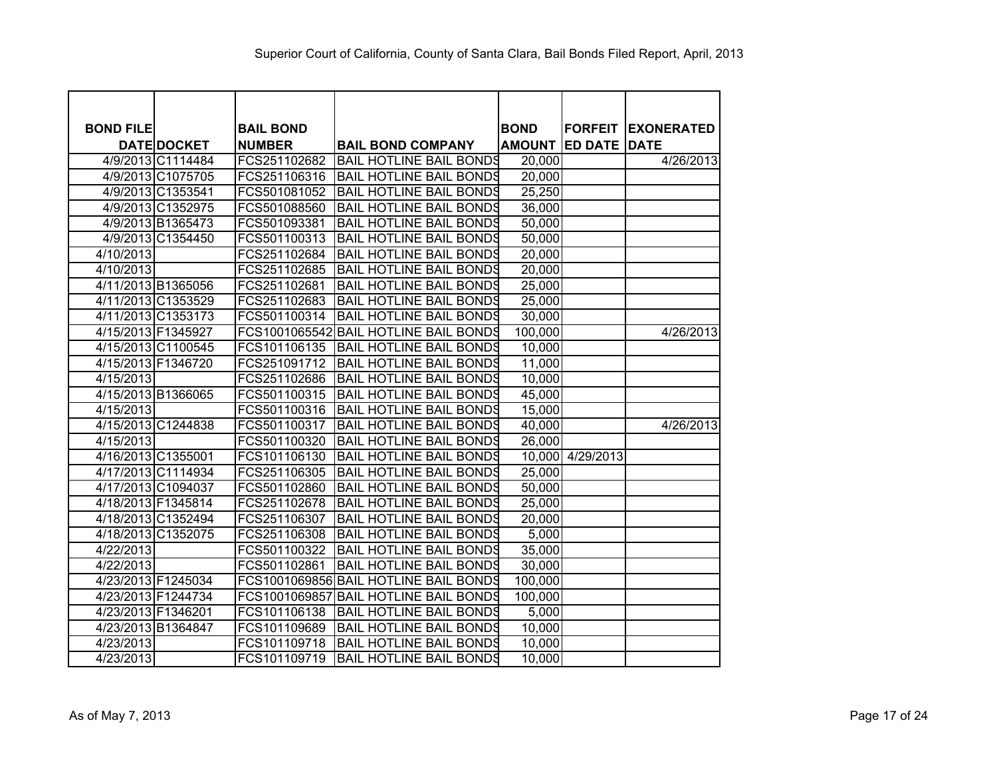| <b>BOND FILE</b>   |                    | <b>BAIL BOND</b> |                                       | <b>BOND</b>   | <b>FORFEIT</b>   | <b>EXONERATED</b> |
|--------------------|--------------------|------------------|---------------------------------------|---------------|------------------|-------------------|
|                    | <b>DATE DOCKET</b> | <b>NUMBER</b>    | <b>BAIL BOND COMPANY</b>              | <b>AMOUNT</b> | <b>ED DATE</b>   | <b>DATE</b>       |
|                    | 4/9/2013 C1114484  | FCS251102682     | <b>BAIL HOTLINE BAIL BONDS</b>        | 20,000        |                  | 4/26/2013         |
|                    | 4/9/2013 C1075705  | FCS251106316     | BAIL HOTLINE BAIL BONDS               | 20,000        |                  |                   |
|                    | 4/9/2013 C1353541  | FCS501081052     | <b>BAIL HOTLINE BAIL BONDS</b>        | 25,250        |                  |                   |
|                    | 4/9/2013 C1352975  | FCS501088560     | <b>BAIL HOTLINE BAIL BONDS</b>        | 36,000        |                  |                   |
|                    | 4/9/2013 B1365473  | FCS501093381     | <b>BAIL HOTLINE BAIL BONDS</b>        | 50,000        |                  |                   |
|                    | 4/9/2013 C1354450  | FCS501100313     | <b>BAIL HOTLINE BAIL BONDS</b>        | 50,000        |                  |                   |
| 4/10/2013          |                    | FCS251102684     | <b>BAIL HOTLINE BAIL BONDS</b>        | 20,000        |                  |                   |
| 4/10/2013          |                    | FCS251102685     | <b>BAIL HOTLINE BAIL BONDS</b>        | 20,000        |                  |                   |
|                    | 4/11/2013 B1365056 | FCS251102681     | <b>BAIL HOTLINE BAIL BONDS</b>        | 25,000        |                  |                   |
|                    | 4/11/2013 C1353529 | FCS251102683     | <b>BAIL HOTLINE BAIL BONDS</b>        | 25,000        |                  |                   |
|                    | 4/11/2013 C1353173 | FCS501100314     | <b>BAIL HOTLINE BAIL BONDS</b>        | 30,000        |                  |                   |
|                    | 4/15/2013 F1345927 |                  | FCS1001065542 BAIL HOTLINE BAIL BONDS | 100,000       |                  | 4/26/2013         |
|                    | 4/15/2013 C1100545 | FCS101106135     | <b>BAIL HOTLINE BAIL BONDS</b>        | 10,000        |                  |                   |
|                    | 4/15/2013 F1346720 | FCS251091712     | <b>BAIL HOTLINE BAIL BONDS</b>        | 11,000        |                  |                   |
| 4/15/2013          |                    | FCS251102686     | <b>BAIL HOTLINE BAIL BONDS</b>        | 10,000        |                  |                   |
|                    | 4/15/2013 B1366065 | FCS501100315     | <b>BAIL HOTLINE BAIL BONDS</b>        | 45,000        |                  |                   |
| 4/15/2013          |                    | FCS501100316     | <b>BAIL HOTLINE BAIL BONDS</b>        | 15,000        |                  |                   |
|                    | 4/15/2013 C1244838 | FCS501100317     | <b>BAIL HOTLINE BAIL BONDS</b>        | 40,000        |                  | 4/26/2013         |
| 4/15/2013          |                    | FCS501100320     | <b>BAIL HOTLINE BAIL BONDS</b>        | 26,000        |                  |                   |
|                    | 4/16/2013 C1355001 | FCS101106130     | <b>BAIL HOTLINE BAIL BONDS</b>        |               | 10,000 4/29/2013 |                   |
|                    | 4/17/2013 C1114934 | FCS251106305     | <b>BAIL HOTLINE BAIL BONDS</b>        | 25,000        |                  |                   |
|                    | 4/17/2013 C1094037 | FCS501102860     | <b>BAIL HOTLINE BAIL BONDS</b>        | 50,000        |                  |                   |
|                    | 4/18/2013 F1345814 | FCS251102678     | <b>BAIL HOTLINE BAIL BONDS</b>        | 25,000        |                  |                   |
|                    | 4/18/2013 C1352494 | FCS251106307     | <b>BAIL HOTLINE BAIL BONDS</b>        | 20,000        |                  |                   |
|                    | 4/18/2013 C1352075 | FCS251106308     | <b>BAIL HOTLINE BAIL BONDS</b>        | 5,000         |                  |                   |
| 4/22/2013          |                    | FCS501100322     | <b>BAIL HOTLINE BAIL BONDS</b>        | 35,000        |                  |                   |
| 4/22/2013          |                    | FCS501102861     | <b>BAIL HOTLINE BAIL BONDS</b>        | 30,000        |                  |                   |
|                    | 4/23/2013 F1245034 |                  | FCS1001069856 BAIL HOTLINE BAIL BONDS | 100,000       |                  |                   |
|                    | 4/23/2013 F1244734 | FCS1001069857    | BAIL HOTLINE BAIL BONDS               | 100,000       |                  |                   |
| 4/23/2013 F1346201 |                    | FCS101106138     | <b>BAIL HOTLINE BAIL BONDS</b>        | 5,000         |                  |                   |
|                    | 4/23/2013 B1364847 | FCS101109689     | <b>BAIL HOTLINE BAIL BONDS</b>        | 10,000        |                  |                   |
| 4/23/2013          |                    | FCS101109718     | <b>BAIL HOTLINE BAIL BONDS</b>        | 10,000        |                  |                   |
| 4/23/2013          |                    | FCS101109719     | <b>BAIL HOTLINE BAIL BONDS</b>        | 10,000        |                  |                   |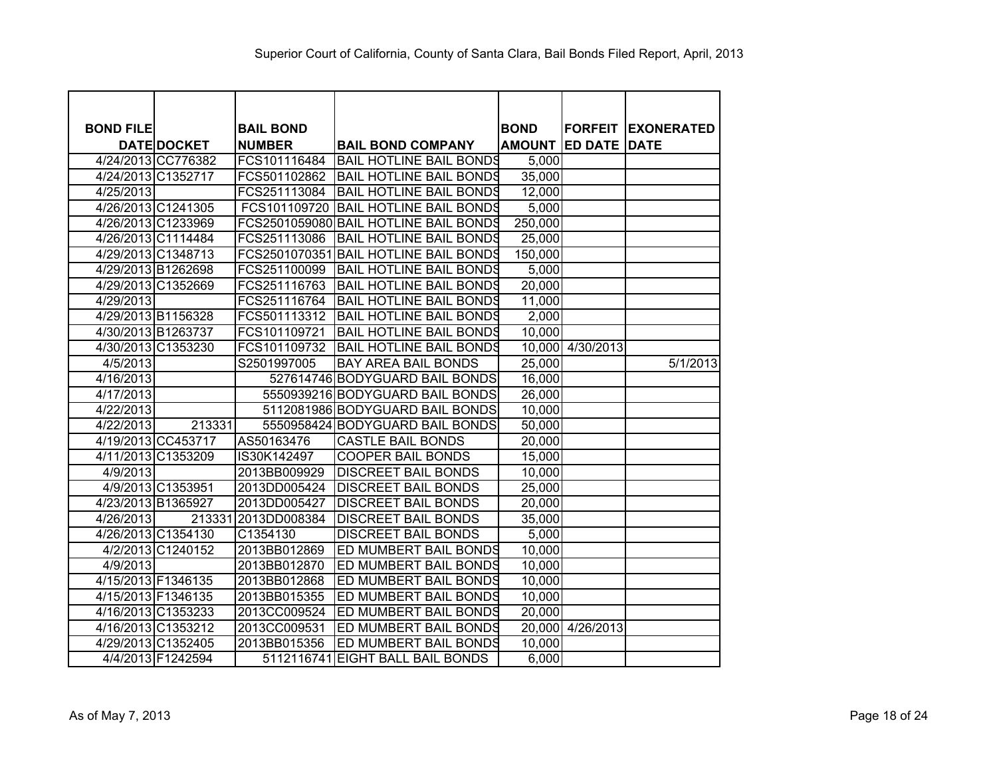| <b>BOND FILE</b> |                    | <b>BAIL BOND</b> |                                       | <b>BOND</b>   | <b>FORFEIT</b>   | <b>EXONERATED</b> |
|------------------|--------------------|------------------|---------------------------------------|---------------|------------------|-------------------|
|                  | <b>DATE DOCKET</b> | <b>NUMBER</b>    | <b>BAIL BOND COMPANY</b>              | <b>AMOUNT</b> | <b>ED DATE</b>   | <b>DATE</b>       |
|                  | 4/24/2013 CC776382 | FCS101116484     | <b>BAIL HOTLINE BAIL BONDS</b>        | 5,000         |                  |                   |
|                  | 4/24/2013 C1352717 |                  | FCS501102862 BAIL HOTLINE BAIL BONDS  | 35,000        |                  |                   |
| 4/25/2013        |                    | FCS251113084     | IBAIL HOTLINE BAIL BONDS              | 12,000        |                  |                   |
|                  | 4/26/2013 C1241305 |                  | FCS101109720 BAIL HOTLINE BAIL BONDS  | 5,000         |                  |                   |
|                  | 4/26/2013 C1233969 |                  | FCS2501059080 BAIL HOTLINE BAIL BONDS | 250,000       |                  |                   |
|                  | 4/26/2013 C1114484 | FCS251113086     | IBAIL HOTLINE BAIL BONDS              | 25,000        |                  |                   |
|                  | 4/29/2013 C1348713 |                  | FCS2501070351 BAIL HOTLINE BAIL BONDS | 150,000       |                  |                   |
|                  | 4/29/2013 B1262698 | FCS251100099     | BAIL HOTLINE BAIL BONDS               | 5,000         |                  |                   |
|                  | 4/29/2013 C1352669 | FCS251116763     | <b>BAIL HOTLINE BAIL BONDS</b>        | 20,000        |                  |                   |
| 4/29/2013        |                    | FCS251116764     | BAIL HOTLINE BAIL BONDS               | 11,000        |                  |                   |
|                  | 4/29/2013 B1156328 | FCS501113312     | <b>BAIL HOTLINE BAIL BONDS</b>        | 2,000         |                  |                   |
|                  | 4/30/2013 B1263737 | FCS101109721     | <b>BAIL HOTLINE BAIL BONDS</b>        | 10,000        |                  |                   |
|                  | 4/30/2013 C1353230 | FCS101109732     | <b>BAIL HOTLINE BAIL BONDS</b>        |               | 10,000 4/30/2013 |                   |
| 4/5/2013         |                    | S2501997005      | <b>BAY AREA BAIL BONDS</b>            | 25,000        |                  | 5/1/2013          |
| 4/16/2013        |                    |                  | 527614746 BODYGUARD BAIL BONDS        | 16,000        |                  |                   |
| 4/17/2013        |                    |                  | 5550939216 BODYGUARD BAIL BONDS       | 26,000        |                  |                   |
| 4/22/2013        |                    |                  | 5112081986 BODYGUARD BAIL BONDS       | 10,000        |                  |                   |
| 4/22/2013        | 213331             |                  | 5550958424 BODYGUARD BAIL BONDS       | 50,000        |                  |                   |
|                  | 4/19/2013 CC453717 | AS50163476       | <b>CASTLE BAIL BONDS</b>              | 20,000        |                  |                   |
|                  | 4/11/2013 C1353209 | IS30K142497      | <b>COOPER BAIL BONDS</b>              | 15,000        |                  |                   |
| 4/9/2013         |                    | 2013BB009929     | <b>DISCREET BAIL BONDS</b>            | 10,000        |                  |                   |
|                  | 4/9/2013 C1353951  | 2013DD005424     | <b>DISCREET BAIL BONDS</b>            | 25,000        |                  |                   |
|                  | 4/23/2013 B1365927 | 2013DD005427     | <b>DISCREET BAIL BONDS</b>            | 20,000        |                  |                   |
| 4/26/2013        | 213331             | 2013DD008384     | <b>DISCREET BAIL BONDS</b>            | 35,000        |                  |                   |
|                  | 4/26/2013 C1354130 | C1354130         | <b>DISCREET BAIL BONDS</b>            | 5,000         |                  |                   |
|                  | 4/2/2013 C1240152  | 2013BB012869     | ED MUMBERT BAIL BONDS                 | 10,000        |                  |                   |
| 4/9/2013         |                    | 2013BB012870     | ED MUMBERT BAIL BONDS                 | 10,000        |                  |                   |
|                  | 4/15/2013 F1346135 | 2013BB012868     | ED MUMBERT BAIL BONDS                 | 10,000        |                  |                   |
|                  | 4/15/2013 F1346135 | 2013BB015355     | ED MUMBERT BAIL BONDS                 | 10,000        |                  |                   |
|                  | 4/16/2013 C1353233 | 2013CC009524     | ED MUMBERT BAIL BONDS                 | 20,000        |                  |                   |
|                  | 4/16/2013 C1353212 | 2013CC009531     | ED MUMBERT BAIL BONDS                 |               | 20,000 4/26/2013 |                   |
|                  | 4/29/2013 C1352405 | 2013BB015356     | <b>ED MUMBERT BAIL BONDS</b>          | 10,000        |                  |                   |
|                  | 4/4/2013 F1242594  |                  | 5112116741 EIGHT BALL BAIL BONDS      | 6,000         |                  |                   |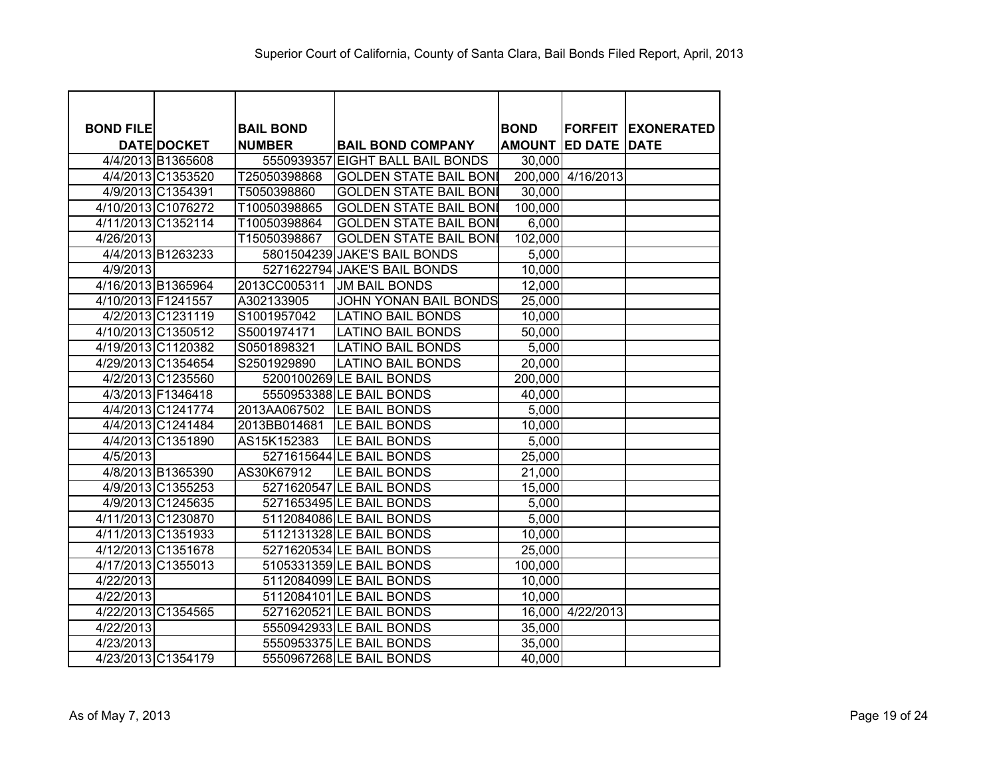| <b>BOND FILE</b> |                    | <b>BAIL BOND</b> |                                  | <b>BOND</b> |                            | <b>FORFEIT EXONERATED</b> |
|------------------|--------------------|------------------|----------------------------------|-------------|----------------------------|---------------------------|
|                  | <b>DATE DOCKET</b> | <b>NUMBER</b>    | <b>BAIL BOND COMPANY</b>         |             | <b>AMOUNT ED DATE DATE</b> |                           |
|                  | 4/4/2013 B1365608  |                  | 5550939357 EIGHT BALL BAIL BONDS | 30,000      |                            |                           |
|                  | 4/4/2013 C1353520  | T25050398868     | <b>GOLDEN STATE BAIL BONI</b>    |             | 200,000 4/16/2013          |                           |
|                  | 4/9/2013 C1354391  | T5050398860      | <b>GOLDEN STATE BAIL BONI</b>    | 30,000      |                            |                           |
|                  | 4/10/2013 C1076272 | T10050398865     | <b>GOLDEN STATE BAIL BONI</b>    | 100,000     |                            |                           |
|                  | 4/11/2013 C1352114 | T10050398864     | <b>GOLDEN STATE BAIL BONI</b>    | 6,000       |                            |                           |
| 4/26/2013        |                    | T15050398867     | <b>GOLDEN STATE BAIL BONI</b>    | 102,000     |                            |                           |
|                  | 4/4/2013 B1263233  |                  | 5801504239 JAKE'S BAIL BONDS     | 5,000       |                            |                           |
| 4/9/2013         |                    |                  | 5271622794 JAKE'S BAIL BONDS     | 10,000      |                            |                           |
|                  | 4/16/2013 B1365964 | 2013CC005311     | <b>JM BAIL BONDS</b>             | 12,000      |                            |                           |
|                  | 4/10/2013 F1241557 | A302133905       | <b>JOHN YONAN BAIL BONDS</b>     | 25,000      |                            |                           |
|                  | 4/2/2013 C1231119  | S1001957042      | <b>LATINO BAIL BONDS</b>         | 10,000      |                            |                           |
|                  | 4/10/2013 C1350512 | S5001974171      | <b>LATINO BAIL BONDS</b>         | 50,000      |                            |                           |
|                  | 4/19/2013 C1120382 | S0501898321      | <b>LATINO BAIL BONDS</b>         | 5,000       |                            |                           |
|                  | 4/29/2013 C1354654 | S2501929890      | <b>LATINO BAIL BONDS</b>         | 20,000      |                            |                           |
|                  | 4/2/2013 C1235560  |                  | 5200100269 LE BAIL BONDS         | 200,000     |                            |                           |
|                  | 4/3/2013 F1346418  |                  | 5550953388 LE BAIL BONDS         | 40,000      |                            |                           |
|                  | 4/4/2013 C1241774  |                  | 2013AA067502 LE BAIL BONDS       | 5,000       |                            |                           |
|                  | 4/4/2013 C1241484  | 2013BB014681     | <b>LE BAIL BONDS</b>             | 10,000      |                            |                           |
|                  | 4/4/2013 C1351890  | AS15K152383      | LE BAIL BONDS                    | 5,000       |                            |                           |
| 4/5/2013         |                    |                  | 5271615644 LE BAIL BONDS         | 25,000      |                            |                           |
|                  | 4/8/2013 B1365390  | AS30K67912       | LE BAIL BONDS                    | 21,000      |                            |                           |
|                  | 4/9/2013 C1355253  |                  | 5271620547 LE BAIL BONDS         | 15,000      |                            |                           |
|                  | 4/9/2013 C1245635  |                  | 5271653495 LE BAIL BONDS         | 5,000       |                            |                           |
|                  | 4/11/2013 C1230870 |                  | 5112084086 LE BAIL BONDS         | 5,000       |                            |                           |
|                  | 4/11/2013 C1351933 |                  | 5112131328 LE BAIL BONDS         | 10,000      |                            |                           |
|                  | 4/12/2013 C1351678 |                  | 5271620534 LE BAIL BONDS         | 25,000      |                            |                           |
|                  | 4/17/2013 C1355013 |                  | 5105331359 LE BAIL BONDS         | 100,000     |                            |                           |
| 4/22/2013        |                    |                  | 5112084099 LE BAIL BONDS         | 10,000      |                            |                           |
| 4/22/2013        |                    |                  | 5112084101 LE BAIL BONDS         | 10,000      |                            |                           |
|                  | 4/22/2013 C1354565 |                  | 5271620521 LE BAIL BONDS         |             | 16,000 4/22/2013           |                           |
| 4/22/2013        |                    |                  | 5550942933 LE BAIL BONDS         | 35,000      |                            |                           |
| 4/23/2013        |                    |                  | 5550953375 LE BAIL BONDS         | 35,000      |                            |                           |
|                  | 4/23/2013 C1354179 |                  | 5550967268 LE BAIL BONDS         | 40,000      |                            |                           |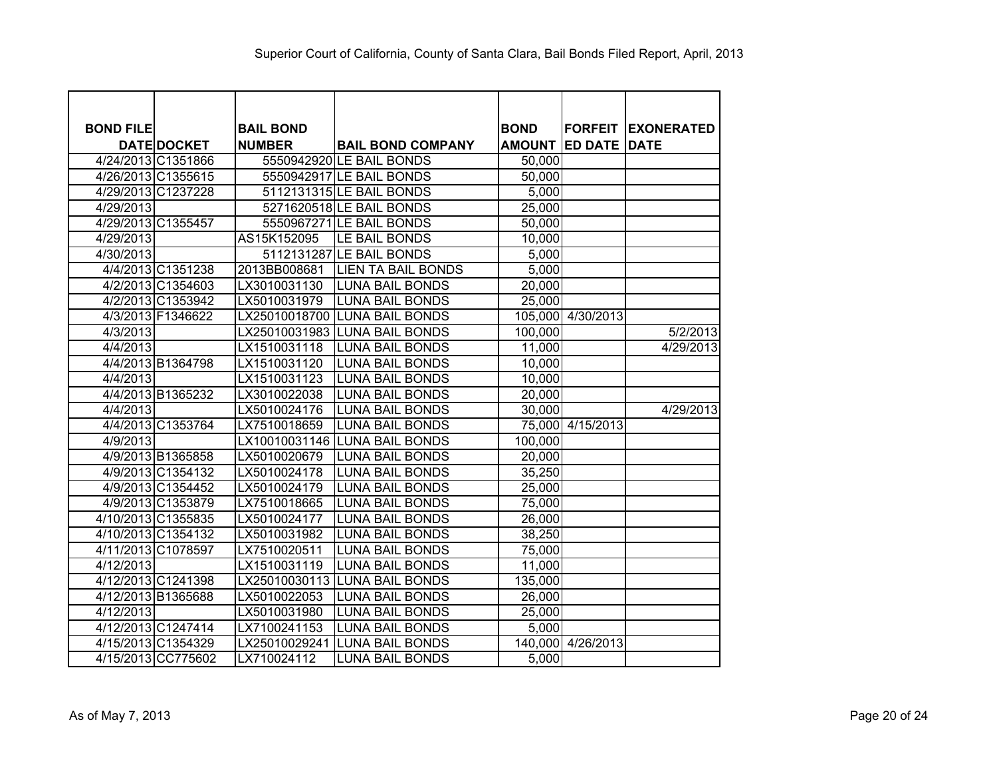| <b>BOND FILE</b> |                    | <b>BAIL BOND</b> |                               | <b>BOND</b>   |                     | <b>FORFEIT EXONERATED</b> |
|------------------|--------------------|------------------|-------------------------------|---------------|---------------------|---------------------------|
|                  | <b>DATE DOCKET</b> | <b>NUMBER</b>    | <b>BAIL BOND COMPANY</b>      | <b>AMOUNT</b> | <b>ED DATE DATE</b> |                           |
|                  | 4/24/2013 C1351866 |                  | 5550942920 LE BAIL BONDS      | 50,000        |                     |                           |
|                  | 4/26/2013 C1355615 |                  | 5550942917 LE BAIL BONDS      | 50,000        |                     |                           |
|                  | 4/29/2013 C1237228 |                  | 5112131315 LE BAIL BONDS      | 5,000         |                     |                           |
| 4/29/2013        |                    |                  | 5271620518 LE BAIL BONDS      | 25,000        |                     |                           |
|                  | 4/29/2013 C1355457 |                  | 5550967271LE BAIL BONDS       | 50,000        |                     |                           |
| 4/29/2013        |                    | AS15K152095      | <b>LE BAIL BONDS</b>          | 10,000        |                     |                           |
| 4/30/2013        |                    |                  | 5112131287 LE BAIL BONDS      | 5,000         |                     |                           |
|                  | 4/4/2013 C1351238  | 2013BB008681     | <b>LIEN TA BAIL BONDS</b>     | 5,000         |                     |                           |
|                  | 4/2/2013 C1354603  | LX3010031130     | <b>LUNA BAIL BONDS</b>        | 20,000        |                     |                           |
|                  | 4/2/2013 C1353942  | LX5010031979     | <b>LUNA BAIL BONDS</b>        | 25,000        |                     |                           |
|                  | 4/3/2013 F1346622  | LX25010018700    | <b>LUNA BAIL BONDS</b>        |               | 105,000 4/30/2013   |                           |
| 4/3/2013         |                    |                  | LX25010031983 LUNA BAIL BONDS | 100,000       |                     | 5/2/2013                  |
| 4/4/2013         |                    | LX1510031118     | <b>LUNA BAIL BONDS</b>        | 11,000        |                     | 4/29/2013                 |
|                  | 4/4/2013 B1364798  | LX1510031120     | <b>LUNA BAIL BONDS</b>        | 10,000        |                     |                           |
| 4/4/2013         |                    | LX1510031123     | <b>LUNA BAIL BONDS</b>        | 10,000        |                     |                           |
|                  | 4/4/2013 B1365232  | LX3010022038     | <b>LUNA BAIL BONDS</b>        | 20,000        |                     |                           |
| 4/4/2013         |                    | LX5010024176     | <b>LUNA BAIL BONDS</b>        | 30,000        |                     | 4/29/2013                 |
|                  | 4/4/2013 C1353764  | LX7510018659     | <b>LUNA BAIL BONDS</b>        |               | 75,000 4/15/2013    |                           |
| 4/9/2013         |                    | LX10010031146    | <b>LUNA BAIL BONDS</b>        | 100,000       |                     |                           |
|                  | 4/9/2013 B1365858  | LX5010020679     | <b>LUNA BAIL BONDS</b>        | 20,000        |                     |                           |
|                  | 4/9/2013 C1354132  | LX5010024178     | <b>LUNA BAIL BONDS</b>        | 35,250        |                     |                           |
|                  | 4/9/2013 C1354452  | LX5010024179     | <b>LUNA BAIL BONDS</b>        | 25,000        |                     |                           |
|                  | 4/9/2013 C1353879  | LX7510018665     | <b>LUNA BAIL BONDS</b>        | 75,000        |                     |                           |
|                  | 4/10/2013 C1355835 | LX5010024177     | <b>LUNA BAIL BONDS</b>        | 26,000        |                     |                           |
|                  | 4/10/2013 C1354132 | LX5010031982     | <b>LUNA BAIL BONDS</b>        | 38,250        |                     |                           |
|                  | 4/11/2013 C1078597 | LX7510020511     | <b>LUNA BAIL BONDS</b>        | 75,000        |                     |                           |
| 4/12/2013        |                    | LX1510031119     | <b>LUNA BAIL BONDS</b>        | 11,000        |                     |                           |
|                  | 4/12/2013 C1241398 | LX25010030113    | <b>LUNA BAIL BONDS</b>        | 135,000       |                     |                           |
|                  | 4/12/2013 B1365688 | LX5010022053     | <b>LUNA BAIL BONDS</b>        | 26,000        |                     |                           |
| 4/12/2013        |                    | LX5010031980     | <b>LUNA BAIL BONDS</b>        | 25,000        |                     |                           |
|                  | 4/12/2013 C1247414 | LX7100241153     | <b>LUNA BAIL BONDS</b>        | 5,000         |                     |                           |
|                  | 4/15/2013 C1354329 | LX25010029241    | <b>LUNA BAIL BONDS</b>        | 140,000       | 4/26/2013           |                           |
|                  | 4/15/2013 CC775602 | LX710024112      | <b>LUNA BAIL BONDS</b>        | 5,000         |                     |                           |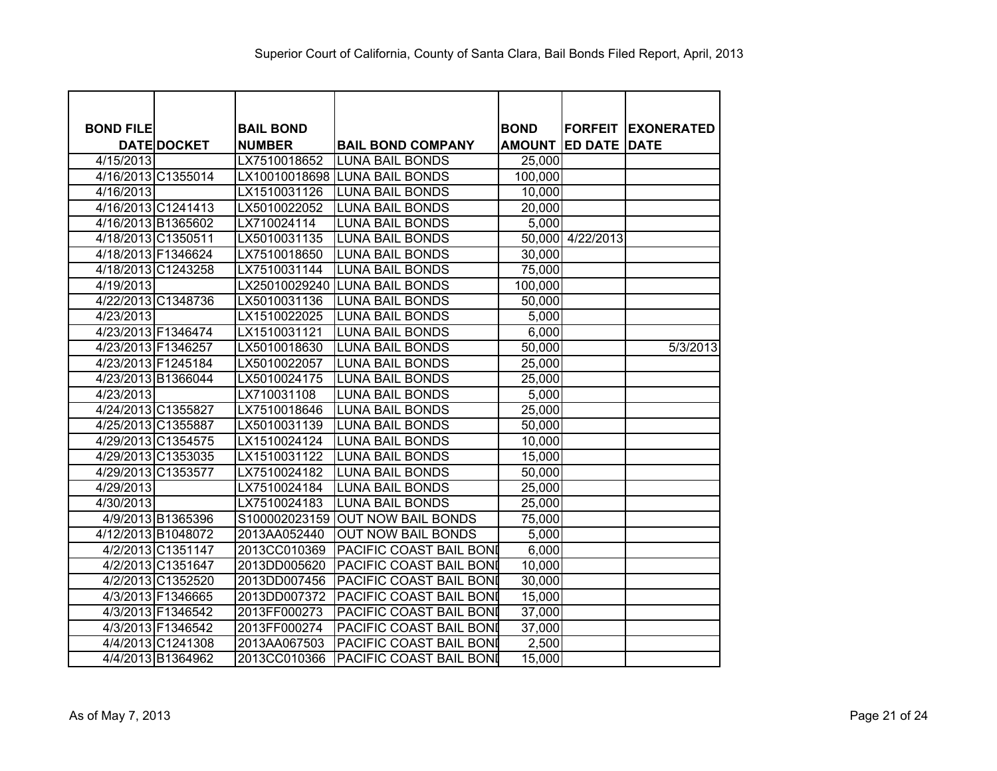| <b>BOND FILE</b> |                    | <b>BAIL BOND</b> |                                | <b>BOND</b> |                            | <b>FORFEIT EXONERATED</b> |
|------------------|--------------------|------------------|--------------------------------|-------------|----------------------------|---------------------------|
|                  | <b>DATE DOCKET</b> | <b>NUMBER</b>    | <b>BAIL BOND COMPANY</b>       |             | <b>AMOUNT ED DATE DATE</b> |                           |
| 4/15/2013        |                    | LX7510018652     | <b>LUNA BAIL BONDS</b>         | 25,000      |                            |                           |
|                  | 4/16/2013 C1355014 |                  | LX10010018698 LUNA BAIL BONDS  | 100,000     |                            |                           |
| 4/16/2013        |                    | LX1510031126     | <b>LUNA BAIL BONDS</b>         | 10,000      |                            |                           |
|                  | 4/16/2013 C1241413 | LX5010022052     | <b>LUNA BAIL BONDS</b>         | 20,000      |                            |                           |
|                  | 4/16/2013 B1365602 | LX710024114      | <b>LUNA BAIL BONDS</b>         | 5,000       |                            |                           |
|                  | 4/18/2013 C1350511 | LX5010031135     | <b>LUNA BAIL BONDS</b>         |             | 50,000 4/22/2013           |                           |
|                  | 4/18/2013 F1346624 | LX7510018650     | <b>LUNA BAIL BONDS</b>         | 30,000      |                            |                           |
|                  | 4/18/2013 C1243258 | LX7510031144     | <b>LUNA BAIL BONDS</b>         | 75,000      |                            |                           |
| 4/19/2013        |                    |                  | LX25010029240 LUNA BAIL BONDS  | 100,000     |                            |                           |
|                  | 4/22/2013 C1348736 | LX5010031136     | <b>LUNA BAIL BONDS</b>         | 50,000      |                            |                           |
| 4/23/2013        |                    | LX1510022025     | <b>LUNA BAIL BONDS</b>         | 5,000       |                            |                           |
|                  | 4/23/2013 F1346474 | LX1510031121     | <b>LUNA BAIL BONDS</b>         | 6,000       |                            |                           |
|                  | 4/23/2013 F1346257 | LX5010018630     | <b>LUNA BAIL BONDS</b>         | 50,000      |                            | 5/3/2013                  |
|                  | 4/23/2013 F1245184 | LX5010022057     | <b>LUNA BAIL BONDS</b>         | 25,000      |                            |                           |
|                  | 4/23/2013 B1366044 | LX5010024175     | <b>LUNA BAIL BONDS</b>         | 25,000      |                            |                           |
| 4/23/2013        |                    | LX710031108      | <b>LUNA BAIL BONDS</b>         | 5,000       |                            |                           |
|                  | 4/24/2013 C1355827 | LX7510018646     | <b>LUNA BAIL BONDS</b>         | 25,000      |                            |                           |
|                  | 4/25/2013 C1355887 | LX5010031139     | <b>LUNA BAIL BONDS</b>         | 50,000      |                            |                           |
|                  | 4/29/2013 C1354575 | LX1510024124     | <b>LUNA BAIL BONDS</b>         | 10,000      |                            |                           |
|                  | 4/29/2013 C1353035 | LX1510031122     | <b>LUNA BAIL BONDS</b>         | 15,000      |                            |                           |
|                  | 4/29/2013 C1353577 | LX7510024182     | <b>LUNA BAIL BONDS</b>         | 50,000      |                            |                           |
| 4/29/2013        |                    | LX7510024184     | <b>LUNA BAIL BONDS</b>         | 25,000      |                            |                           |
| 4/30/2013        |                    | LX7510024183     | <b>LUNA BAIL BONDS</b>         | 25,000      |                            |                           |
|                  | 4/9/2013 B1365396  | S100002023159    | <b>OUT NOW BAIL BONDS</b>      | 75,000      |                            |                           |
|                  | 4/12/2013 B1048072 | 2013AA052440     | <b>OUT NOW BAIL BONDS</b>      | 5,000       |                            |                           |
|                  | 4/2/2013 C1351147  | 2013CC010369     | PACIFIC COAST BAIL BONI        | 6,000       |                            |                           |
|                  | 4/2/2013 C1351647  | 2013DD005620     | PACIFIC COAST BAIL BONI        | 10,000      |                            |                           |
|                  | 4/2/2013 C1352520  | 2013DD007456     | PACIFIC COAST BAIL BONI        | 30,000      |                            |                           |
|                  | 4/3/2013 F1346665  | 2013DD007372     | PACIFIC COAST BAIL BONI        | 15,000      |                            |                           |
|                  | 4/3/2013 F1346542  | 2013FF000273     | PACIFIC COAST BAIL BONI        | 37,000      |                            |                           |
|                  | 4/3/2013 F1346542  | 2013FF000274     | PACIFIC COAST BAIL BONI        | 37,000      |                            |                           |
|                  | 4/4/2013 C1241308  | 2013AA067503     | <b>PACIFIC COAST BAIL BONI</b> | 2,500       |                            |                           |
|                  | 4/4/2013 B1364962  | 2013CC010366     | PACIFIC COAST BAIL BONI        | 15,000      |                            |                           |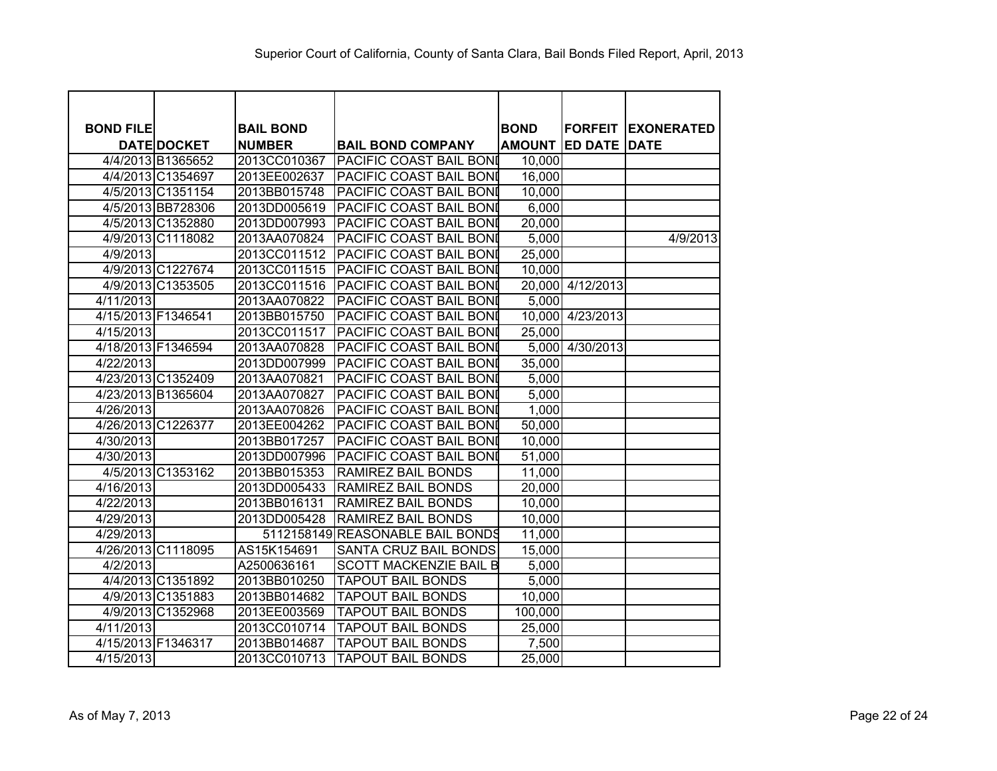| <b>BOND FILE</b>   |                    | <b>BAIL BOND</b> |                                  | <b>BOND</b>   | <b>FORFEIT</b>   | <b>IEXONERATED</b> |
|--------------------|--------------------|------------------|----------------------------------|---------------|------------------|--------------------|
|                    | <b>DATE DOCKET</b> | <b>NUMBER</b>    | <b>BAIL BOND COMPANY</b>         | <b>AMOUNT</b> | <b>ED DATE</b>   | <b>DATE</b>        |
|                    | 4/4/2013 B1365652  | 2013CC010367     | <b>PACIFIC COAST BAIL BONI</b>   | 10,000        |                  |                    |
|                    | 4/4/2013 C1354697  | 2013EE002637     | PACIFIC COAST BAIL BONI          | 16,000        |                  |                    |
|                    | 4/5/2013 C1351154  | 2013BB015748     | <b>PACIFIC COAST BAIL BONI</b>   | 10,000        |                  |                    |
|                    | 4/5/2013 BB728306  | 2013DD005619     | PACIFIC COAST BAIL BONI          | 6,000         |                  |                    |
|                    | 4/5/2013 C1352880  | 2013DD007993     | PACIFIC COAST BAIL BONI          | 20,000        |                  |                    |
|                    | 4/9/2013 C1118082  | 2013AA070824     | PACIFIC COAST BAIL BONI          | 5,000         |                  | 4/9/2013           |
| 4/9/2013           |                    | 2013CC011512     | PACIFIC COAST BAIL BONI          | 25,000        |                  |                    |
|                    | 4/9/2013 C1227674  | 2013CC011515     | PACIFIC COAST BAIL BONI          | 10,000        |                  |                    |
|                    | 4/9/2013 C1353505  | 2013CC011516     | <b>PACIFIC COAST BAIL BONI</b>   |               | 20,000 4/12/2013 |                    |
| 4/11/2013          |                    | 2013AA070822     | <b>PACIFIC COAST BAIL BONI</b>   | 5.000         |                  |                    |
| 4/15/2013 F1346541 |                    | 2013BB015750     | <b>PACIFIC COAST BAIL BONI</b>   |               | 10,000 4/23/2013 |                    |
| 4/15/2013          |                    | 2013CC011517     | <b>PACIFIC COAST BAIL BONI</b>   | 25,000        |                  |                    |
|                    | 4/18/2013 F1346594 | 2013AA070828     | PACIFIC COAST BAIL BONI          |               | 5,000 4/30/2013  |                    |
| 4/22/2013          |                    | 2013DD007999     | PACIFIC COAST BAIL BONI          | 35,000        |                  |                    |
|                    | 4/23/2013 C1352409 | 2013AA070821     | PACIFIC COAST BAIL BONI          | 5,000         |                  |                    |
|                    | 4/23/2013 B1365604 | 2013AA070827     | PACIFIC COAST BAIL BONI          | 5,000         |                  |                    |
| 4/26/2013          |                    | 2013AA070826     | PACIFIC COAST BAIL BONI          | 1,000         |                  |                    |
|                    | 4/26/2013 C1226377 | 2013EE004262     | <b>PACIFIC COAST BAIL BONI</b>   | 50,000        |                  |                    |
| 4/30/2013          |                    | 2013BB017257     | PACIFIC COAST BAIL BONI          | 10,000        |                  |                    |
| 4/30/2013          |                    | 2013DD007996     | PACIFIC COAST BAIL BONI          | 51,000        |                  |                    |
|                    | 4/5/2013 C1353162  | 2013BB015353     | RAMIREZ BAIL BONDS               | 11,000        |                  |                    |
| 4/16/2013          |                    | 2013DD005433     | <b>RAMIREZ BAIL BONDS</b>        | 20,000        |                  |                    |
| 4/22/2013          |                    | 2013BB016131     | RAMIREZ BAIL BONDS               | 10,000        |                  |                    |
| 4/29/2013          |                    | 2013DD005428     | <b>RAMIREZ BAIL BONDS</b>        | 10,000        |                  |                    |
| 4/29/2013          |                    |                  | 5112158149 REASONABLE BAIL BONDS | 11,000        |                  |                    |
|                    | 4/26/2013 C1118095 | AS15K154691      | <b>SANTA CRUZ BAIL BONDS</b>     | 15,000        |                  |                    |
| 4/2/2013           |                    | A2500636161      | <b>SCOTT MACKENZIE BAIL B</b>    | 5,000         |                  |                    |
|                    | 4/4/2013 C1351892  | 2013BB010250     | <b>TAPOUT BAIL BONDS</b>         | 5,000         |                  |                    |
|                    | 4/9/2013 C1351883  | 2013BB014682     | <b>TAPOUT BAIL BONDS</b>         | 10,000        |                  |                    |
|                    | 4/9/2013 C1352968  | 2013EE003569     | <b>TAPOUT BAIL BONDS</b>         | 100,000       |                  |                    |
| 4/11/2013          |                    | 2013CC010714     | <b>TAPOUT BAIL BONDS</b>         | 25,000        |                  |                    |
|                    | 4/15/2013 F1346317 | 2013BB014687     | <b>TAPOUT BAIL BONDS</b>         | 7,500         |                  |                    |
| 4/15/2013          |                    | 2013CC010713     | <b>TAPOUT BAIL BONDS</b>         | 25,000        |                  |                    |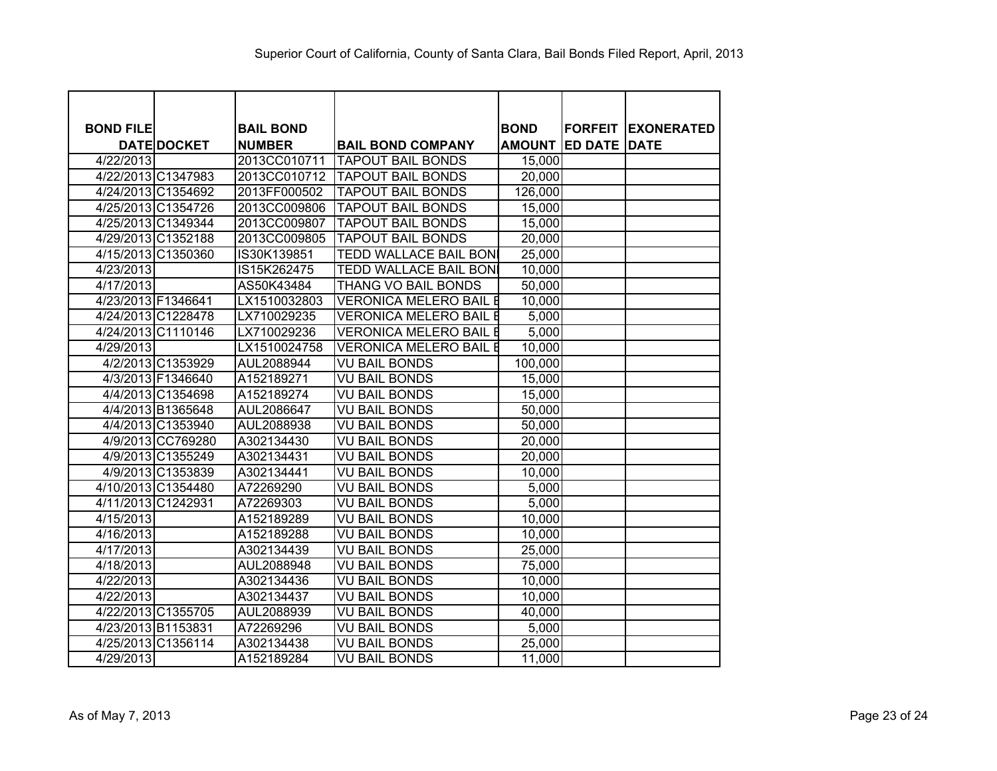| <b>BOND FILE</b> |                    | <b>BAIL BOND</b> |                               | <b>BOND</b>   | <b>FORFEIT</b>      | <b>EXONERATED</b> |
|------------------|--------------------|------------------|-------------------------------|---------------|---------------------|-------------------|
|                  | <b>DATE DOCKET</b> | <b>NUMBER</b>    | <b>BAIL BOND COMPANY</b>      | <b>AMOUNT</b> | <b>ED DATE DATE</b> |                   |
| 4/22/2013        |                    | 2013CC010711     | <b>TAPOUT BAIL BONDS</b>      | 15,000        |                     |                   |
|                  | 4/22/2013 C1347983 | 2013CC010712     | <b>TAPOUT BAIL BONDS</b>      | 20,000        |                     |                   |
|                  | 4/24/2013 C1354692 | 2013FF000502     | <b>TAPOUT BAIL BONDS</b>      | 126,000       |                     |                   |
|                  | 4/25/2013 C1354726 | 2013CC009806     | <b>TAPOUT BAIL BONDS</b>      | 15,000        |                     |                   |
|                  | 4/25/2013 C1349344 | 2013CC009807     | <b>TAPOUT BAIL BONDS</b>      | 15,000        |                     |                   |
|                  | 4/29/2013 C1352188 | 2013CC009805     | <b>TAPOUT BAIL BONDS</b>      | 20,000        |                     |                   |
|                  | 4/15/2013 C1350360 | IS30K139851      | <b>TEDD WALLACE BAIL BON</b>  | 25,000        |                     |                   |
| 4/23/2013        |                    | IS15K262475      | <b>TEDD WALLACE BAIL BONI</b> | 10,000        |                     |                   |
| 4/17/2013        |                    | AS50K43484       | THANG VO BAIL BONDS           | 50,000        |                     |                   |
|                  | 4/23/2013 F1346641 | LX1510032803     | <b>VERONICA MELERO BAIL E</b> | 10,000        |                     |                   |
|                  | 4/24/2013 C1228478 | LX710029235      | <b>VERONICA MELERO BAIL E</b> | 5,000         |                     |                   |
|                  | 4/24/2013 C1110146 | LX710029236      | <b>VERONICA MELERO BAIL E</b> | 5,000         |                     |                   |
| 4/29/2013        |                    | LX1510024758     | <b>VERONICA MELERO BAIL E</b> | 10,000        |                     |                   |
|                  | 4/2/2013 C1353929  | AUL2088944       | <b>VU BAIL BONDS</b>          | 100,000       |                     |                   |
|                  | 4/3/2013 F1346640  | A152189271       | <b>VU BAIL BONDS</b>          | 15,000        |                     |                   |
|                  | 4/4/2013 C1354698  | A152189274       | <b>VU BAIL BONDS</b>          | 15,000        |                     |                   |
|                  | 4/4/2013 B1365648  | AUL2086647       | <b>VU BAIL BONDS</b>          | 50,000        |                     |                   |
|                  | 4/4/2013 C1353940  | AUL2088938       | <b>VU BAIL BONDS</b>          | 50,000        |                     |                   |
|                  | 4/9/2013 CC769280  | A302134430       | <b>VU BAIL BONDS</b>          | 20,000        |                     |                   |
|                  | 4/9/2013 C1355249  | A302134431       | <b>VU BAIL BONDS</b>          | 20,000        |                     |                   |
|                  | 4/9/2013 C1353839  | A302134441       | <b>VU BAIL BONDS</b>          | 10,000        |                     |                   |
|                  | 4/10/2013 C1354480 | A72269290        | <b>VU BAIL BONDS</b>          | 5,000         |                     |                   |
|                  | 4/11/2013 C1242931 | A72269303        | <b>VU BAIL BONDS</b>          | 5,000         |                     |                   |
| 4/15/2013        |                    | A152189289       | <b>VU BAIL BONDS</b>          | 10,000        |                     |                   |
| 4/16/2013        |                    | A152189288       | <b>VU BAIL BONDS</b>          | 10,000        |                     |                   |
| 4/17/2013        |                    | A302134439       | <b>VU BAIL BONDS</b>          | 25,000        |                     |                   |
| 4/18/2013        |                    | AUL2088948       | <b>VU BAIL BONDS</b>          | 75,000        |                     |                   |
| 4/22/2013        |                    | A302134436       | <b>VU BAIL BONDS</b>          | 10,000        |                     |                   |
| 4/22/2013        |                    | A302134437       | <b>VU BAIL BONDS</b>          | 10,000        |                     |                   |
|                  | 4/22/2013 C1355705 | AUL2088939       | <b>VU BAIL BONDS</b>          | 40,000        |                     |                   |
|                  | 4/23/2013 B1153831 | A72269296        | <b>VU BAIL BONDS</b>          | 5,000         |                     |                   |
|                  | 4/25/2013 C1356114 | A302134438       | VU BAIL BONDS                 | 25,000        |                     |                   |
| 4/29/2013        |                    | A152189284       | <b>VU BAIL BONDS</b>          | 11,000        |                     |                   |